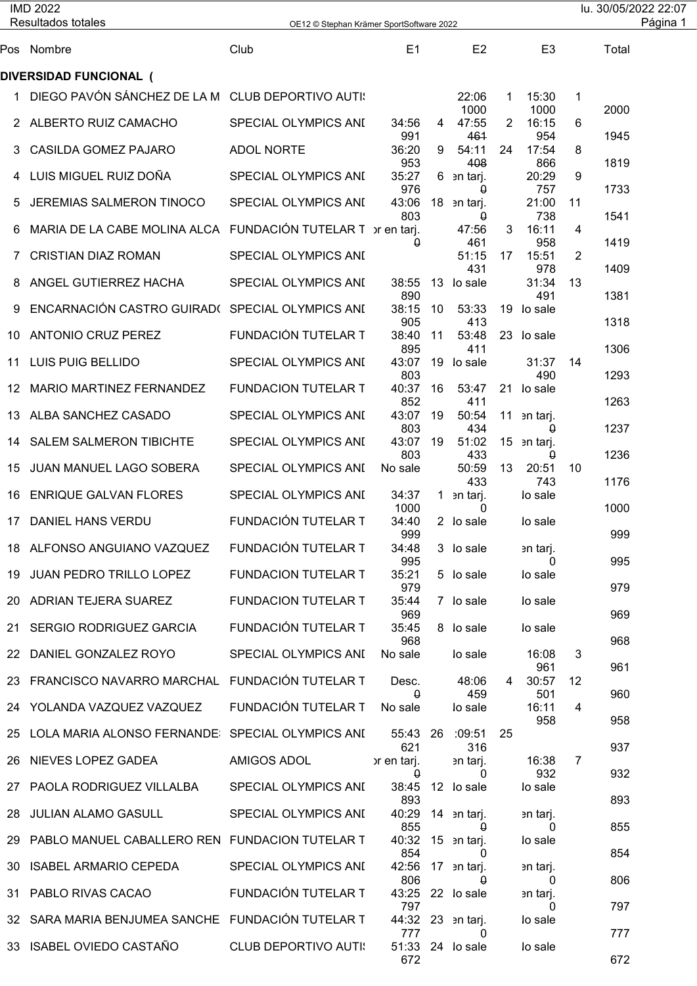|     | <b>IMD 2022</b><br>Resultados totales                        | OE12 © Stephan Krämer SportSoftware 2022 |                   |    |                                   |     |                     |                | lu. 30/05/2022 22:07<br>Página 1 |
|-----|--------------------------------------------------------------|------------------------------------------|-------------------|----|-----------------------------------|-----|---------------------|----------------|----------------------------------|
|     | Pos Nombre                                                   | Club                                     | E <sub>1</sub>    |    | E <sub>2</sub>                    |     | E <sub>3</sub>      |                | Total                            |
|     | <b>DIVERSIDAD FUNCIONAL (</b>                                |                                          |                   |    |                                   |     |                     |                |                                  |
|     | 1 DIEGO PAVÓN SÁNCHEZ DE LA M CLUB DEPORTIVO AUTI:           |                                          |                   |    | 22:06<br>1000                     | 1   | 15:30<br>1000       | $\mathbf{1}$   | 2000                             |
|     | 2 ALBERTO RUIZ CAMACHO                                       | SPECIAL OLYMPICS ANI                     | 34:56<br>991      | 4  | 47:55<br>461                      | 2   | 16:15<br>954        | 6              | 1945                             |
|     | CASILDA GOMEZ PAJARO                                         | <b>ADOL NORTE</b>                        | 36:20<br>953      | 9  | 54:11<br>408                      | 24  | 17:54<br>866        | 8              | 1819                             |
| 4   | LUIS MIGUEL RUIZ DOÑA                                        | SPECIAL OLYMPICS ANI                     | 35:27<br>976      |    | $6 \cdot$ en tarj.<br>0           |     | 20:29<br>757        | 9              | 1733                             |
| 5   | <b>JEREMIAS SALMERON TINOCO</b>                              | SPECIAL OLYMPICS ANI                     | 43:06<br>803      | 18 | en tarj.                          |     | 21:00               | 11             | 1541                             |
| 6   | MARIA DE LA CABE MOLINA ALCA FUNDACIÓN TUTELAR T or en tarj. |                                          | 0                 |    | $\theta$<br>47:56                 | 3   | 738<br>16:11<br>958 | 4              | 1419                             |
|     | <b>CRISTIAN DIAZ ROMAN</b>                                   | SPECIAL OLYMPICS ANI                     |                   |    | 461<br>51:15                      | 17  | 15:51               | 2              |                                  |
| 8   | ANGEL GUTIERREZ HACHA                                        | SPECIAL OLYMPICS ANI                     | 38:55<br>890      |    | 431<br>13 lo sale                 |     | 978<br>31:34<br>491 | 13             | 1409<br>1381                     |
| 9   | ENCARNACIÓN CASTRO GUIRAD( SPECIAL OLYMPICS ANI              |                                          | 38:15<br>905      | 10 | 53:33<br>413                      | 19  | lo sale             |                | 1318                             |
| 10. | ANTONIO CRUZ PEREZ                                           | FUNDACIÓN TUTELAR T                      | 38:40<br>895      | 11 | 53:48<br>411                      | -23 | lo sale             |                | 1306                             |
| 11  | LUIS PUIG BELLIDO                                            | SPECIAL OLYMPICS ANI                     | 43:07<br>803      |    | 19 lo sale                        |     | 31:37<br>490        | 14             | 1293                             |
| 12  | <b>MARIO MARTINEZ FERNANDEZ</b>                              | <b>FUNDACION TUTELAR T</b>               | 40:37<br>852      | 16 | 53:47<br>411                      | 21  | lo sale             |                | 1263                             |
| 13. | ALBA SANCHEZ CASADO                                          | SPECIAL OLYMPICS ANI                     | 43:07<br>803      | 19 | 50:54<br>434                      | 11  | en tarj.<br>0       |                | 1237                             |
|     | 14 SALEM SALMERON TIBICHTE                                   | SPECIAL OLYMPICS ANI                     | 43:07<br>803      | 19 | 51:02<br>433                      |     | 15 en tarj.<br>0    |                | 1236                             |
| 15  | <b>JUAN MANUEL LAGO SOBERA</b>                               | SPECIAL OLYMPICS ANI                     | No sale           |    | 50:59<br>433                      | 13  | 20:51<br>743        | 10             | 1176                             |
| 16  | <b>ENRIQUE GALVAN FLORES</b>                                 | SPECIAL OLYMPICS ANI                     | 34:37<br>1000     |    | 1 $\cdot$ an tarj.<br>$\mathbf 0$ |     | lo sale             |                | 1000                             |
| 17  | DANIEL HANS VERDU                                            | FUNDACIÓN TUTELAR T                      | 34:40<br>999      |    | 2 lo sale                         |     | lo sale             |                | 999                              |
|     | 18 ALFONSO ANGUIANO VAZQUEZ                                  | FUNDACIÓN TUTELAR T                      | 34:48<br>995      |    | 3 lo sale                         |     | en tarj.<br>0       |                | 995                              |
|     | 19 JUAN PEDRO TRILLO LOPEZ                                   | <b>FUNDACION TUTELAR T</b>               | 35:21<br>979      |    | 5 lo sale                         |     | lo sale             |                | 979                              |
| 20  | ADRIAN TEJERA SUAREZ                                         | <b>FUNDACION TUTELAR T</b>               | 35:44<br>969      |    | 7 lo sale                         |     | lo sale             |                | 969                              |
| 21  | SERGIO RODRIGUEZ GARCIA                                      | FUNDACIÓN TUTELAR T                      | 35:45<br>968      |    | 8 lo sale                         |     | lo sale             |                | 968                              |
| 22  | DANIEL GONZALEZ ROYO                                         | SPECIAL OLYMPICS ANI                     | No sale           |    | lo sale                           |     | 16:08<br>961        | 3              | 961                              |
|     | 23 FRANCISCO NAVARRO MARCHAL FUNDACIÓN TUTELAR T             |                                          | Desc.<br>$\theta$ |    | 48:06<br>459                      | 4   | 30:57<br>501        | 12             | 960                              |
|     | 24 YOLANDA VAZQUEZ VAZQUEZ FUNDACIÓN TUTELAR T               |                                          | No sale           |    | lo sale                           |     | 16:11<br>958        | 4              | 958                              |
| 25  | LOLA MARIA ALONSO FERNANDE SPECIAL OLYMPICS ANI              |                                          | 621               |    | 55:43 26 :09:51<br>316            | 25  |                     |                | 937                              |
| 26  | NIEVES LOPEZ GADEA                                           | AMIGOS ADOL                              | or en tarj.<br>0  |    | en tarj.<br>0                     |     | 16:38<br>932        | $\overline{7}$ | 932                              |
|     | 27 PAOLA RODRIGUEZ VILLALBA                                  | SPECIAL OLYMPICS ANI                     | 38:45<br>893      |    | 12 lo sale                        |     | lo sale             |                | 893                              |
|     | 28 JULIAN ALAMO GASULL                                       | SPECIAL OLYMPICS ANI                     | 40:29<br>855      |    | 14 en tarj.<br>0                  |     | en tarj.<br>0       |                | 855                              |
|     | 29 PABLO MANUEL CABALLERO REN FUNDACION TUTELAR T            |                                          | 40:32<br>854      |    | 15 en tarj.<br>0                  |     | lo sale             |                | 854                              |
| 30  | <b>ISABEL ARMARIO CEPEDA</b>                                 | SPECIAL OLYMPICS ANI                     | 42:56<br>806      |    | 17 en tarj.<br>0                  |     | en tarj.<br>0       |                | 806                              |
|     | 31 PABLO RIVAS CACAO                                         | FUNDACIÓN TUTELAR T                      | 43:25<br>797      |    | 22 lo sale                        |     | en tarj.<br>0       |                | 797                              |
|     | 32 SARA MARIA BENJUMEA SANCHE FUNDACIÓN TUTELAR T            |                                          | 44:32<br>777      |    | 23 en tarj.<br>$\Omega$           |     | lo sale             |                | 777                              |
|     | 33 ISABEL OVIEDO CASTAÑO CLUB DEPORTIVO AUTI:                |                                          | 672               |    | 51:33 24 lo sale                  |     | lo sale             |                | 672                              |
|     |                                                              |                                          |                   |    |                                   |     |                     |                |                                  |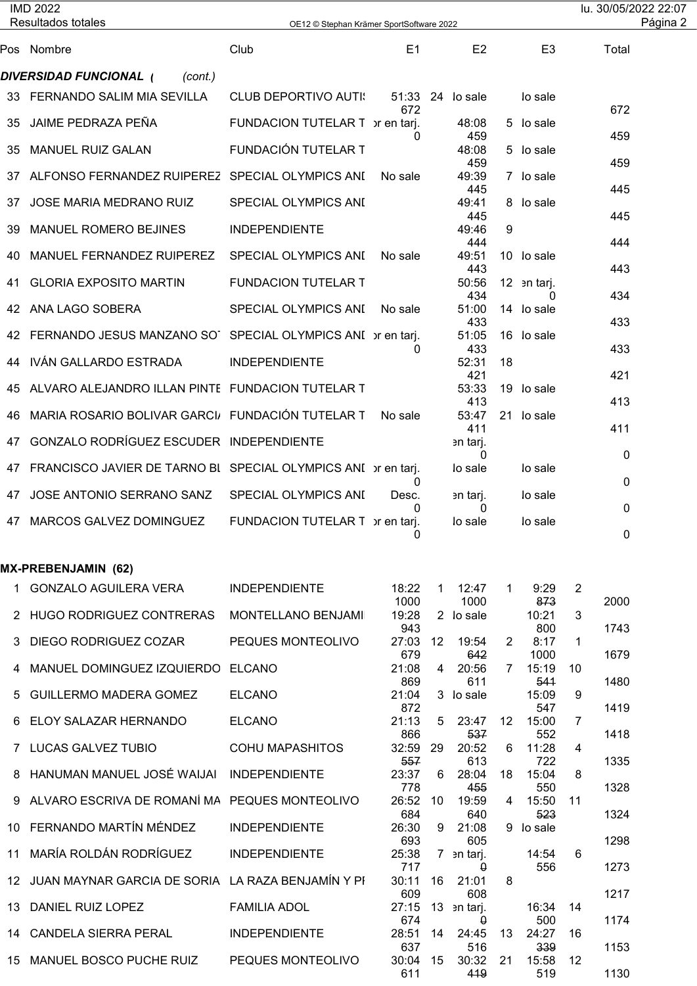|     | <b>IMD 2022</b><br>Resultados totales                            | OE12 © Stephan Krämer SportSoftware 2022 |                     |              |                     |                |                     |             | lu. 30/05/2022 22:07 | Página 2 |
|-----|------------------------------------------------------------------|------------------------------------------|---------------------|--------------|---------------------|----------------|---------------------|-------------|----------------------|----------|
|     | Pos Nombre                                                       | Club                                     | E <sub>1</sub>      |              | E <sub>2</sub>      |                | E <sub>3</sub>      |             | Total                |          |
|     | DIVERSIDAD FUNCIONAL (<br>(cont.)                                |                                          |                     |              |                     |                |                     |             |                      |          |
|     | 33 FERNANDO SALIM MIA SEVILLA                                    | <b>CLUB DEPORTIVO AUTI:</b>              | 672                 |              | 51:33 24 lo sale    |                | lo sale             |             | 672                  |          |
|     | 35 JAIME PEDRAZA PEÑA                                            | FUNDACION TUTELAR T or en tarj.          | 0                   |              | 48:08<br>459        |                | 5 lo sale           |             | 459                  |          |
| 35  | <b>MANUEL RUIZ GALAN</b>                                         | FUNDACIÓN TUTELAR T                      |                     |              | 48:08<br>459        |                | 5 lo sale           |             | 459                  |          |
|     | 37 ALFONSO FERNANDEZ RUIPEREZ SPECIAL OLYMPICS ANI               |                                          | No sale             |              | 49:39<br>445        |                | 7 lo sale           |             | 445                  |          |
| 37  | JOSE MARIA MEDRANO RUIZ                                          | SPECIAL OLYMPICS ANI                     |                     |              | 49:41               |                | 8 lo sale           |             |                      |          |
| 39  | MANUEL ROMERO BEJINES                                            | <b>INDEPENDIENTE</b>                     |                     |              | 445<br>49:46<br>444 | 9              |                     |             | 445<br>444           |          |
| 40  | MANUEL FERNANDEZ RUIPEREZ                                        | SPECIAL OLYMPICS ANI                     | No sale             |              | 49:51               |                | 10 lo sale          |             |                      |          |
| 41  | <b>GLORIA EXPOSITO MARTIN</b>                                    | <b>FUNDACION TUTELAR T</b>               |                     |              | 443<br>50:56        |                | 12 en tarj.         |             | 443<br>434           |          |
|     | 42 ANA LAGO SOBERA                                               | SPECIAL OLYMPICS ANI                     | No sale             |              | 434<br>51:00        |                | 14 lo sale          |             |                      |          |
|     | 42 FERNANDO JESUS MANZANO SO SPECIAL OLYMPICS ANI or en tarj.    |                                          |                     |              | 433<br>51:05        |                | 16 lo sale          |             | 433                  |          |
|     | 44 IVÁN GALLARDO ESTRADA                                         | <b>INDEPENDIENTE</b>                     | 0                   |              | 433<br>52:31        | 18             |                     |             | 433                  |          |
| 45  | ALVARO ALEJANDRO ILLAN PINTE FUNDACION TUTELAR T                 |                                          |                     |              | 421<br>53:33<br>413 |                | 19 lo sale          |             | 421<br>413           |          |
| 46. | MARIA ROSARIO BOLIVAR GARCI/ FUNDACIÓN TUTELAR T                 |                                          | No sale             |              | 53:47               | 21             | lo sale             |             |                      |          |
| 47  | GONZALO RODRÍGUEZ ESCUDER INDEPENDIENTE                          |                                          |                     |              | 411<br>en tarj.     |                |                     |             | 411                  |          |
|     | 47 FRANCISCO JAVIER DE TARNO BI SPECIAL OLYMPICS ANI or en tarj. |                                          |                     |              | 0<br>lo sale        |                | lo sale             |             | 0                    |          |
| 47  | JOSE ANTONIO SERRANO SANZ                                        | SPECIAL OLYMPICS ANI                     | 0<br>Desc.          |              | en tarj.            |                | lo sale             |             | 0                    |          |
|     | 47 MARCOS GALVEZ DOMINGUEZ                                       | FUNDACION TUTELAR T or en tarj.          | 0<br>0              |              | 0<br>lo sale        |                | lo sale             |             | 0<br>0               |          |
|     | <b>MX-PREBENJAMIN (62)</b>                                       |                                          |                     |              |                     |                |                     |             |                      |          |
| 1.  | <b>GONZALO AGUILERA VERA</b>                                     | <b>INDEPENDIENTE</b>                     | 18:22               | $\mathbf{1}$ | 12:47               | 1              | 9:29                | 2           |                      |          |
|     | <b>HUGO RODRIGUEZ CONTRERAS</b>                                  | <b>MONTELLANO BENJAMI</b>                | 1000<br>19:28       |              | 1000<br>2 lo sale   |                | 873<br>10:21        | 3           | 2000                 |          |
| 3   | DIEGO RODRIGUEZ COZAR                                            | PEQUES MONTEOLIVO                        | 943<br>27:03        | 12           | 19:54               | 2              | 800<br>8:17         | $\mathbf 1$ | 1743                 |          |
| 4   | MANUEL DOMINGUEZ IZQUIERDO                                       | <b>ELCANO</b>                            | 679<br>21:08        | 4            | 642<br>20:56        | $\overline{7}$ | 1000<br>15:19       | 10          | 1679                 |          |
| 5   | <b>GUILLERMO MADERA GOMEZ</b>                                    | <b>ELCANO</b>                            | 869<br>21:04        |              | 611<br>3 lo sale    |                | 541<br>15:09        | 9           | 1480                 |          |
| 6   | ELOY SALAZAR HERNANDO                                            | <b>ELCANO</b>                            | 872<br>21:13        | 5            | 23:47               | 12             | 547<br>15:00        | 7           | 1419                 |          |
| 7   | LUCAS GALVEZ TUBIO                                               | <b>COHU MAPASHITOS</b>                   | 866<br>32:59        | 29           | 537<br>20:52        | 6              | 552<br>11:28        | 4           | 1418                 |          |
| 8   | HANUMAN MANUEL JOSÉ WAIJAI                                       | <b>INDEPENDIENTE</b>                     | 557<br>23:37        | 6            | 613<br>28:04        | 18             | 722<br>15:04        | 8           | 1335                 |          |
| 9   | ALVARO ESCRIVA DE ROMANÍ MA                                      | PEQUES MONTEOLIVO                        | 778<br>26:52        | 10           | 455<br>19:59        | 4              | 550<br>15:50        | 11          | 1328                 |          |
| 10  | FERNANDO MARTÍN MÉNDEZ                                           | <b>INDEPENDIENTE</b>                     | 684<br>26:30        | 9            | 640<br>21:08        | 9              | 523<br>lo sale      |             | 1324                 |          |
| 11  | MARÍA ROLDÁN RODRÍGUEZ                                           | <b>INDEPENDIENTE</b>                     | 693<br>25:38        |              | 605<br>7 en tarj.   |                | 14:54               | 6           | 1298                 |          |
| 12  | JUAN MAYNAR GARCIA DE SORIA LA RAZA BENJAMÍN Y PI                |                                          | 717<br>30:11        | 16           | 0<br>21:01          | 8              | 556                 |             | 1273                 |          |
| 13  | DANIEL RUIZ LOPEZ                                                | <b>FAMILIA ADOL</b>                      | 609<br>27:15        |              | 608<br>13 en tarj.  |                | 16:34               | 14          | 1217                 |          |
| 14  | <b>CANDELA SIERRA PERAL</b>                                      | <b>INDEPENDIENTE</b>                     | 674<br>28:51        | 14           | 0<br>24:45          | 13             | 500<br>24:27        | 16          | 1174                 |          |
| 15  | MANUEL BOSCO PUCHE RUIZ                                          | PEQUES MONTEOLIVO                        | 637<br>30:04<br>611 | 15           | 516<br>30:32<br>419 | 21             | 339<br>15:58<br>519 | 12          | 1153<br>1130         |          |
|     |                                                                  |                                          |                     |              |                     |                |                     |             |                      |          |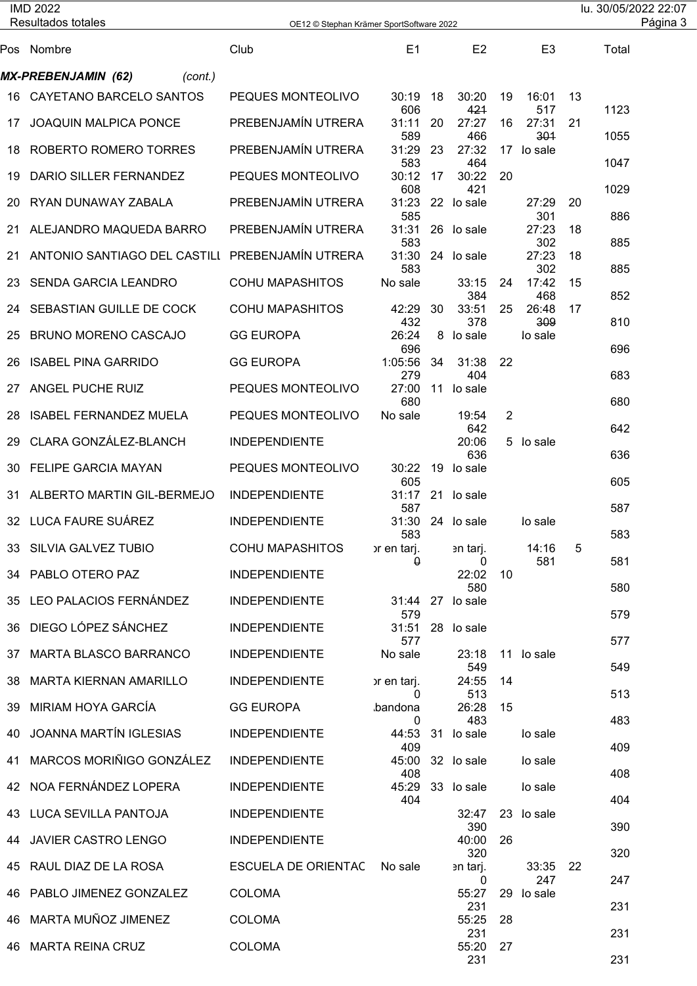|     | <b>IMD 2022</b><br>Resultados totales           | OE12 © Stephan Krämer SportSoftware 2022 |                         |    |                  |     |                |     | lu. 30/05/2022 22:07<br>Página 3 |
|-----|-------------------------------------------------|------------------------------------------|-------------------------|----|------------------|-----|----------------|-----|----------------------------------|
| Pos | Nombre                                          | Club                                     | E <sub>1</sub>          |    | E <sub>2</sub>   |     | E <sub>3</sub> |     | Total                            |
|     | <b>MX-PREBENJAMIN (62)</b><br>(cont.)           |                                          |                         |    |                  |     |                |     |                                  |
| 16. | CAYETANO BARCELO SANTOS                         | PEQUES MONTEOLIVO                        | 30:19<br>606            | 18 | 30:20<br>421     | 19  | 16:01<br>517   | 13  | 1123                             |
| 17  | <b>JOAQUIN MALPICA PONCE</b>                    | PREBENJAMÍN UTRERA                       | 31:11<br>589            | 20 | 27:27<br>466     | 16  | 27:31<br>301   | 21  | 1055                             |
| 18  | ROBERTO ROMERO TORRES                           | PREBENJAMÍN UTRERA                       | 31:29<br>583            | 23 | 27:32<br>464     | 17  | lo sale        |     | 1047                             |
| 19  | DARIO SILLER FERNANDEZ                          | PEQUES MONTEOLIVO                        | 30:12<br>608            | 17 | 30:22<br>421     | 20  |                |     | 1029                             |
| 20  | RYAN DUNAWAY ZABALA                             | PREBENJAMÍN UTRERA                       | 31:23<br>585            |    | 22 lo sale       |     | 27:29<br>301   | 20  | 886                              |
| 21  | ALEJANDRO MAQUEDA BARRO                         | PREBENJAMÍN UTRERA                       | 31:31<br>583            |    | 26 lo sale       |     | 27:23<br>302   | 18  | 885                              |
| 21  | ANTONIO SANTIAGO DEL CASTILI PREBENJAMÍN UTRERA |                                          | 31:30<br>583            |    | 24 lo sale       |     | 27:23<br>302   | 18  | 885                              |
| 23  | <b>SENDA GARCIA LEANDRO</b>                     | <b>COHU MAPASHITOS</b>                   | No sale                 |    | 33:15<br>384     | 24  | 17:42<br>468   | 15  | 852                              |
| 24  | SEBASTIAN GUILLE DE COCK                        | <b>COHU MAPASHITOS</b>                   | 42:29<br>432            | 30 | 33:51<br>378     | 25  | 26:48<br>309   | 17  | 810                              |
| 25  | <b>BRUNO MORENO CASCAJO</b>                     | <b>GG EUROPA</b>                         | 26:24<br>696            |    | 8 lo sale        |     | lo sale        |     | 696                              |
| 26  | <b>ISABEL PINA GARRIDO</b>                      | <b>GG EUROPA</b>                         | 1:05:56<br>279          | 34 | 31:38<br>404     | 22  |                |     | 683                              |
| 27  | ANGEL PUCHE RUIZ                                | PEQUES MONTEOLIVO                        | 27:00<br>680            | 11 | lo sale          |     |                |     | 680                              |
| 28  | <b>ISABEL FERNANDEZ MUELA</b>                   | PEQUES MONTEOLIVO                        | No sale                 |    | 19:54<br>642     | 2   |                |     | 642                              |
| 29  | CLARA GONZÁLEZ-BLANCH                           | <b>INDEPENDIENTE</b>                     |                         |    | 20:06<br>636     | 5   | lo sale        |     | 636                              |
| 30  | <b>FELIPE GARCIA MAYAN</b>                      | PEQUES MONTEOLIVO                        | 30:22<br>605            | 19 | lo sale          |     |                |     | 605                              |
| 31  | ALBERTO MARTIN GIL-BERMEJO                      | <b>INDEPENDIENTE</b>                     | 31:17<br>587            |    | 21 lo sale       |     |                |     | 587                              |
|     | 32 LUCA FAURE SUÁREZ                            | <b>INDEPENDIENTE</b>                     | 583                     |    | 31:30 24 lo sale |     | lo sale        |     | 583                              |
|     | 33 SILVIA GALVEZ TUBIO                          | <b>COHU MAPASHITOS</b>                   | or en tarj.<br>$\theta$ |    | en tarj.<br>0    |     | 14:16<br>581   | 5   | 581                              |
|     | 34 PABLO OTERO PAZ                              | <b>INDEPENDIENTE</b>                     |                         |    | 22:02<br>580     | -10 |                |     | 580                              |
| 35  | LEO PALACIOS FERNÁNDEZ                          | <b>INDEPENDIENTE</b>                     | 579                     |    | 31:44 27 lo sale |     |                |     | 579                              |
| 36  | DIEGO LÓPEZ SÁNCHEZ                             | <b>INDEPENDIENTE</b>                     | 31:51<br>577            |    | 28 lo sale       |     |                |     | 577                              |
| 37. | <b>MARTA BLASCO BARRANCO</b>                    | <b>INDEPENDIENTE</b>                     | No sale                 |    | 23:18<br>549     |     | 11 lo sale     |     | 549                              |
| 38  | <b>MARTA KIERNAN AMARILLO</b>                   | <b>INDEPENDIENTE</b>                     | or en tarj.<br>0        |    | 24:55<br>513     | -14 |                |     | 513                              |
| 39  | <b>MIRIAM HOYA GARCÍA</b>                       | <b>GG EUROPA</b>                         | bandona<br>0            |    | 26:28<br>483     | 15  |                |     | 483                              |
| 40  | <b>JOANNA MARTÍN IGLESIAS</b>                   | <b>INDEPENDIENTE</b>                     | 44:53<br>409            |    | 31 lo sale       |     | lo sale        |     | 409                              |
| 41  | MARCOS MORIÑIGO GONZÁLEZ                        | <b>INDEPENDIENTE</b>                     | 45:00<br>408            |    | 32 lo sale       |     | lo sale        |     | 408                              |
|     | 42 NOA FERNÁNDEZ LOPERA                         | <b>INDEPENDIENTE</b>                     | 45:29<br>404            |    | 33 lo sale       |     | lo sale        |     | 404                              |
| 43  | LUCA SEVILLA PANTOJA                            | <b>INDEPENDIENTE</b>                     |                         |    | 32:47<br>390     | 23  | lo sale        |     | 390                              |
| 44  | <b>JAVIER CASTRO LENGO</b>                      | <b>INDEPENDIENTE</b>                     |                         |    | 40:00<br>320     | 26  |                |     | 320                              |
| 45  | RAUL DIAZ DE LA ROSA                            | <b>ESCUELA DE ORIENTAC</b>               | No sale                 |    | en tarj.<br>0    |     | 33:35<br>247   | -22 | 247                              |
| 46  | PABLO JIMENEZ GONZALEZ                          | <b>COLOMA</b>                            |                         |    | 55:27<br>231     | 29  | lo sale        |     | 231                              |
| 46  | MARTA MUÑOZ JIMENEZ                             | <b>COLOMA</b>                            |                         |    | 55:25<br>231     | 28  |                |     | 231                              |
| 46. | <b>MARTA REINA CRUZ</b>                         | <b>COLOMA</b>                            |                         |    | 55:20<br>231     | 27  |                |     | 231                              |
|     |                                                 |                                          |                         |    |                  |     |                |     |                                  |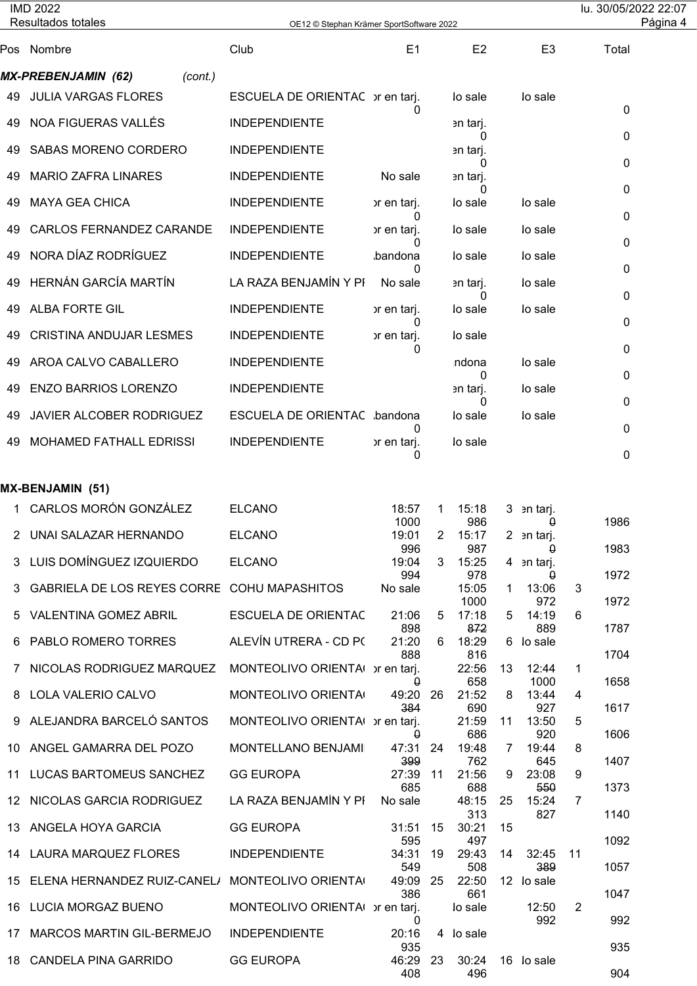|     | <b>IMD 2022</b><br>Resultados totales                      | OE12 © Stephan Krämer SportSoftware 2022 |                        |                |                     |              |                        |                | lu. 30/05/2022 22:07 | Página 4 |
|-----|------------------------------------------------------------|------------------------------------------|------------------------|----------------|---------------------|--------------|------------------------|----------------|----------------------|----------|
|     | Pos Nombre                                                 | Club                                     | E1                     |                | E <sub>2</sub>      |              | E <sub>3</sub>         |                | Total                |          |
|     | <b>MX-PREBENJAMIN (62)</b><br>(cont.)                      |                                          |                        |                |                     |              |                        |                |                      |          |
| 49. | <b>JULIA VARGAS FLORES</b>                                 | ESCUELA DE ORIENTAC or en tarj.          |                        |                | lo sale             |              | lo sale                |                |                      |          |
| 49  | NOA FIGUERAS VALLÉS                                        | <b>INDEPENDIENTE</b>                     | 0                      |                | en tarj.            |              |                        |                | 0                    |          |
| 49  | SABAS MORENO CORDERO                                       | <b>INDEPENDIENTE</b>                     |                        |                | 0<br>en tarj.       |              |                        |                | 0                    |          |
| 49  | <b>MARIO ZAFRA LINARES</b>                                 | <b>INDEPENDIENTE</b>                     | No sale                |                | 0<br>en tarj.       |              |                        |                | 0                    |          |
| 49  | <b>MAYA GEA CHICA</b>                                      | <b>INDEPENDIENTE</b>                     | or en tarj.            |                | 0<br>lo sale        |              | lo sale                |                | 0                    |          |
| 49  | <b>CARLOS FERNANDEZ CARANDE</b>                            | <b>INDEPENDIENTE</b>                     | 0<br>or en tarj.       |                | lo sale             |              | lo sale                |                | 0                    |          |
| 49  | NORA DÍAZ RODRÍGUEZ                                        | <b>INDEPENDIENTE</b>                     | 0<br>bandona           |                | lo sale             |              | lo sale                |                | 0                    |          |
| 49  | HERNÁN GARCÍA MARTÍN                                       | LA RAZA BENJAMÍN Y PI                    | 0<br>No sale           |                | en tarj.            |              | lo sale                |                | 0                    |          |
| 49  | <b>ALBA FORTE GIL</b>                                      | <b>INDEPENDIENTE</b>                     | or en tarj.            |                | 0<br>lo sale        |              | lo sale                |                | 0                    |          |
| 49  | <b>CRISTINA ANDUJAR LESMES</b>                             | <b>INDEPENDIENTE</b>                     | 0<br>or en tarj.       |                | lo sale             |              |                        |                | 0                    |          |
| 49  | AROA CALVO CABALLERO                                       | <b>INDEPENDIENTE</b>                     | 0                      |                | ⊪ndona              |              | lo sale                |                | 0                    |          |
| 49  | <b>ENZO BARRIOS LORENZO</b>                                | <b>INDEPENDIENTE</b>                     |                        |                | 0<br>en tarj.       |              | lo sale                |                | 0                    |          |
| 49  | JAVIER ALCOBER RODRIGUEZ                                   | ESCUELA DE ORIENTAC .bandona             |                        |                | 0<br>lo sale        |              | lo sale                |                | 0                    |          |
| 49  | <b>MOHAMED FATHALL EDRISSI</b>                             | <b>INDEPENDIENTE</b>                     | 0<br>or en tarj.       |                | lo sale             |              |                        |                | 0                    |          |
|     |                                                            |                                          |                        |                |                     |              |                        |                | 0                    |          |
|     | <b>MX-BENJAMIN</b> (51)                                    |                                          |                        |                |                     |              |                        |                |                      |          |
|     | CARLOS MORÓN GONZÁLEZ                                      | <b>ELCANO</b>                            | 18:57<br>1000          |                | 15:18<br>986        |              | 3 en tarj.<br>0        |                | 1986                 |          |
|     | 2 UNAI SALAZAR HERNANDO                                    | <b>ELCANO</b>                            | 19:01<br>996           | $\overline{2}$ | 15:17<br>987        |              | 2 en tarj.<br>0        |                | 1983                 |          |
|     | 3 LUIS DOMÍNGUEZ IZQUIERDO ELCANO                          |                                          | 19:04<br>994           | 3              | 15:25<br>978        |              | 4 en tarj.<br>$\theta$ |                | 1972                 |          |
|     | 3 GABRIELA DE LOS REYES CORRE COHU MAPASHITOS              |                                          | No sale                |                | 15:05<br>1000       | $\mathbf{1}$ | 13:06<br>972           | 3              | 1972                 |          |
|     | 5 VALENTINA GOMEZ ABRIL                ESCUELA DE ORIENTAC |                                          | 21:06<br>898           | 5              | 17:18<br>872        | 5            | 14:19<br>889           | 6              | 1787                 |          |
|     | 6 PABLO ROMERO TORRES                                      | ALEVÍN UTRERA - CD P(                    | 21:20<br>888           | 6              | 18:29<br>816        |              | 6 lo sale              |                | 1704                 |          |
|     | 7 NICOLAS RODRIGUEZ MARQUEZ MONTEOLIVO ORIENTA or en tarj. |                                          | $\theta$               |                | 22:56<br>658        |              | 13 12:44<br>1000       | $\mathbf{1}$   | 1658                 |          |
|     | 8 LOLA VALERIO CALVO                                       | MONTEOLIVO ORIENTA                       | 49:20 26<br>384        |                | 21:52<br>690        |              | 8 13:44<br>927         | 4              | 1617                 |          |
|     | 9 ALEJANDRA BARCELÓ SANTOS                                 | MONTEOLIVO ORIENTA or en tarj.           | 0                      |                | 21:59<br>686        | 11           | 13:50<br>920           | 5              | 1606                 |          |
|     | 10 ANGEL GAMARRA DEL POZO                                  | MONTELLANO BENJAMI                       | 47:31 24<br>399        |                | 19:48<br>762        |              | 7 19:44<br>645         | 8              | 1407                 |          |
|     | 11 LUCAS BARTOMEUS SANCHEZ                                 | <b>GG EUROPA</b>                         | 27:39 11<br>685        |                | 21:56<br>688        | 9            | 23:08<br>550           | 9              | 1373                 |          |
|     | 12 NICOLAS GARCIA RODRIGUEZ                                | LA RAZA BENJAMÍN Y PI No sale            |                        |                | 48:15<br>313        | 25           | 15:24<br>827           | $\overline{7}$ | 1140                 |          |
|     | 13 ANGELA HOYA GARCIA                                      | <b>GG EUROPA</b>                         | 31:51 15               |                | 30:21               | 15           |                        |                |                      |          |
|     | 14 LAURA MARQUEZ FLORES                                    | <b>INDEPENDIENTE</b>                     | 595<br>34:31 19<br>549 |                | 497<br>29:43<br>508 | 14           | 32:45<br>389           | 11             | 1092<br>1057         |          |
|     | 15 ELENA HERNANDEZ RUIZ-CANEL/ MONTEOLIVO ORIENTA          |                                          | 49:09 25<br>386        |                | 22:50               |              | 12 lo sale             |                |                      |          |
|     | 16 LUCIA MORGAZ BUENO MONTEOLIVO ORIENTA or en tarj.       |                                          | $\mathbf 0$            |                | 661<br>lo sale      |              | 12:50<br>992           | $\overline{2}$ | 1047<br>992          |          |
|     | 17 MARCOS MARTIN GIL-BERMEJO INDEPENDIENTE                 |                                          | 20:16                  |                | 4 lo sale           |              |                        |                | 935                  |          |
|     | 18 CANDELA PINA GARRIDO GG EUROPA                          |                                          | 935<br>46:29 23<br>408 |                | 30:24<br>496        |              | 16 lo sale             |                | 904                  |          |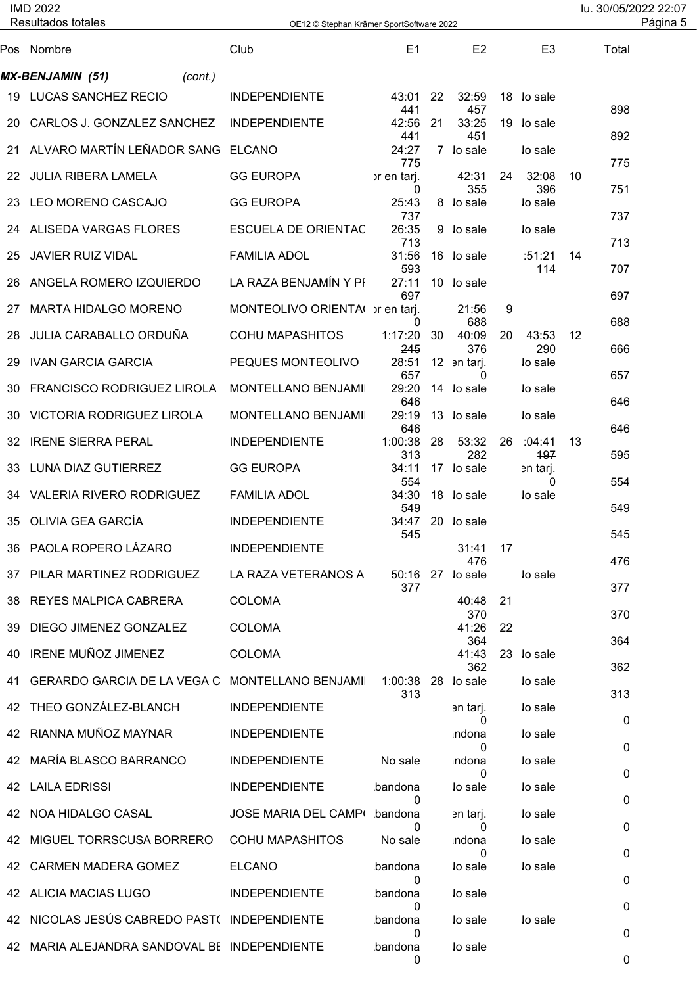|     | <b>IMD 2022</b><br>Resultados totales          | OE12 © Stephan Krämer SportSoftware 2022 |                     |     |                  |     |                |    | lu. 30/05/2022 22:07<br>Página 5 |  |
|-----|------------------------------------------------|------------------------------------------|---------------------|-----|------------------|-----|----------------|----|----------------------------------|--|
|     | Pos Nombre                                     | Club                                     | E <sub>1</sub>      |     | E <sub>2</sub>   |     | E <sub>3</sub> |    | Total                            |  |
|     | <b>MX-BENJAMIN (51)</b><br>(cont.)             |                                          |                     |     |                  |     |                |    |                                  |  |
|     | 19 LUCAS SANCHEZ RECIO                         | <b>INDEPENDIENTE</b>                     | 43:01<br>441        | 22  | 32:59<br>457     | 18  | lo sale        |    | 898                              |  |
| 20  | CARLOS J. GONZALEZ SANCHEZ                     | <b>INDEPENDIENTE</b>                     | 42:56<br>441        | 21  | 33:25<br>451     | 19  | lo sale        |    | 892                              |  |
| 21  | ALVARO MARTÍN LEÑADOR SANG                     | <b>ELCANO</b>                            | 24:27               |     | 7 lo sale        |     | lo sale        |    |                                  |  |
|     | 22 JULIA RIBERA LAMELA                         | <b>GG EUROPA</b>                         | 775<br>or en tarj.  |     | 42:31            | 24  | 32:08          | 10 | 775<br>751                       |  |
| 23  | LEO MORENO CASCAJO                             | <b>GG EUROPA</b>                         | 0<br>25:43          |     | 355<br>8 lo sale |     | 396<br>lo sale |    |                                  |  |
| 24  | ALISEDA VARGAS FLORES                          | <b>ESCUELA DE ORIENTAC</b>               | 737<br>26:35<br>713 |     | 9 lo sale        |     | lo sale        |    | 737<br>713                       |  |
| 25  | <b>JAVIER RUIZ VIDAL</b>                       | <b>FAMILIA ADOL</b>                      | 31:56<br>593        |     | 16 lo sale       |     | :51:21         | 14 | 707                              |  |
| 26  | ANGELA ROMERO IZQUIERDO                        | LA RAZA BENJAMÍN Y PI                    | 27:11<br>697        |     | 10 lo sale       |     | 114            |    | 697                              |  |
| 27  | <b>MARTA HIDALGO MORENO</b>                    | MONTEOLIVO ORIENTA or en tarj.           | 0                   |     | 21:56<br>688     | 9   |                |    | 688                              |  |
| 28  | JULIA CARABALLO ORDUÑA                         | <b>COHU MAPASHITOS</b>                   | 1:17:20<br>245      | 30  | 40:09<br>376     | 20  | 43:53<br>290   | 12 | 666                              |  |
| 29  | <b>IVAN GARCIA GARCIA</b>                      | PEQUES MONTEOLIVO                        | 28:51<br>657        |     | 12 en tarj.<br>0 |     | lo sale        |    | 657                              |  |
| 30  | <b>FRANCISCO RODRIGUEZ LIROLA</b>              | <b>MONTELLANO BENJAMI</b>                | 29:20<br>646        |     | 14 lo sale       |     | lo sale        |    | 646                              |  |
| 30  | VICTORIA RODRIGUEZ LIROLA                      | MONTELLANO BENJAMI                       | 29:19<br>646        |     | 13 lo sale       |     | lo sale        |    | 646                              |  |
| 32  | <b>IRENE SIERRA PERAL</b>                      | <b>INDEPENDIENTE</b>                     | 1:00:38<br>313      | 28  | 53:32<br>282     | 26  | :04:41<br>197  | 13 | 595                              |  |
| 33  | LUNA DIAZ GUTIERREZ                            | <b>GG EUROPA</b>                         | 34:11<br>554        |     | 17 lo sale       |     | en tarj.<br>0  |    | 554                              |  |
| 34  | <b>VALERIA RIVERO RODRIGUEZ</b>                | <b>FAMILIA ADOL</b>                      | 34:30<br>549        |     | 18 lo sale       |     | lo sale        |    | 549                              |  |
|     | 35 OLIVIA GEA GARCÍA                           | <b>INDEPENDIENTE</b>                     | 34:47<br>545        |     | 20 lo sale       |     |                |    | 545                              |  |
|     | 36 PAOLA ROPERO LÁZARO                         | <b>INDEPENDIENTE</b>                     |                     |     | 31:41<br>476     | 17  |                |    | 476                              |  |
| 37  | PILAR MARTINEZ RODRIGUEZ                       | LA RAZA VETERANOS A                      | 50:16<br>377        | -27 | lo sale          |     | lo sale        |    | 377                              |  |
| 38  | <b>REYES MALPICA CABRERA</b>                   | <b>COLOMA</b>                            |                     |     | 40:48<br>370     | 21  |                |    | 370                              |  |
| 39  | DIEGO JIMENEZ GONZALEZ                         | <b>COLOMA</b>                            |                     |     | 41:26<br>364     | 22  |                |    | 364                              |  |
| 40  | <b>IRENE MUÑOZ JIMENEZ</b>                     | <b>COLOMA</b>                            |                     |     | 41:43<br>362     | -23 | lo sale        |    | 362                              |  |
| 41  | GERARDO GARCIA DE LA VEGA C MONTELLANO BENJAMI |                                          | 1:00:38<br>313      | -28 | lo sale          |     | lo sale        |    | 313                              |  |
| 42  | THEO GONZÁLEZ-BLANCH                           | <b>INDEPENDIENTE</b>                     |                     |     | en tarj.<br>0    |     | lo sale        |    | 0                                |  |
| 42  | RIANNA MUÑOZ MAYNAR                            | <b>INDEPENDIENTE</b>                     |                     |     | ⊪ndona<br>0      |     | lo sale        |    | 0                                |  |
| 42  | MARÍA BLASCO BARRANCO                          | <b>INDEPENDIENTE</b>                     | No sale             |     | ndona<br>0       |     | lo sale        |    | 0                                |  |
|     | 42 LAILA EDRISSI                               | <b>INDEPENDIENTE</b>                     | bandona<br>0        |     | lo sale          |     | lo sale        |    | 0                                |  |
|     | 42 NOA HIDALGO CASAL                           | <b>JOSE MARIA DEL CAMP</b>               | bandona<br>0        |     | en tarj.<br>0    |     | lo sale        |    | 0                                |  |
| 42. | MIGUEL TORRSCUSA BORRERO COHU MAPASHITOS       |                                          | No sale             |     | ndona<br>0       |     | lo sale        |    |                                  |  |
| 42. | <b>CARMEN MADERA GOMEZ</b>                     | <b>ELCANO</b>                            | bandona<br>0        |     | lo sale          |     | lo sale        |    | 0<br>0                           |  |
|     | 42 ALICIA MACIAS LUGO                          | <b>INDEPENDIENTE</b>                     | bandona<br>0        |     | lo sale          |     |                |    | 0                                |  |
| 42  | NICOLAS JESÚS CABREDO PAST( INDEPENDIENTE      |                                          | bandona<br>0        |     | lo sale          |     | lo sale        |    |                                  |  |
| 42  | MARIA ALEJANDRA SANDOVAL BE INDEPENDIENTE      |                                          | bandona             |     | lo sale          |     |                |    | 0                                |  |
|     |                                                |                                          | 0                   |     |                  |     |                |    | 0                                |  |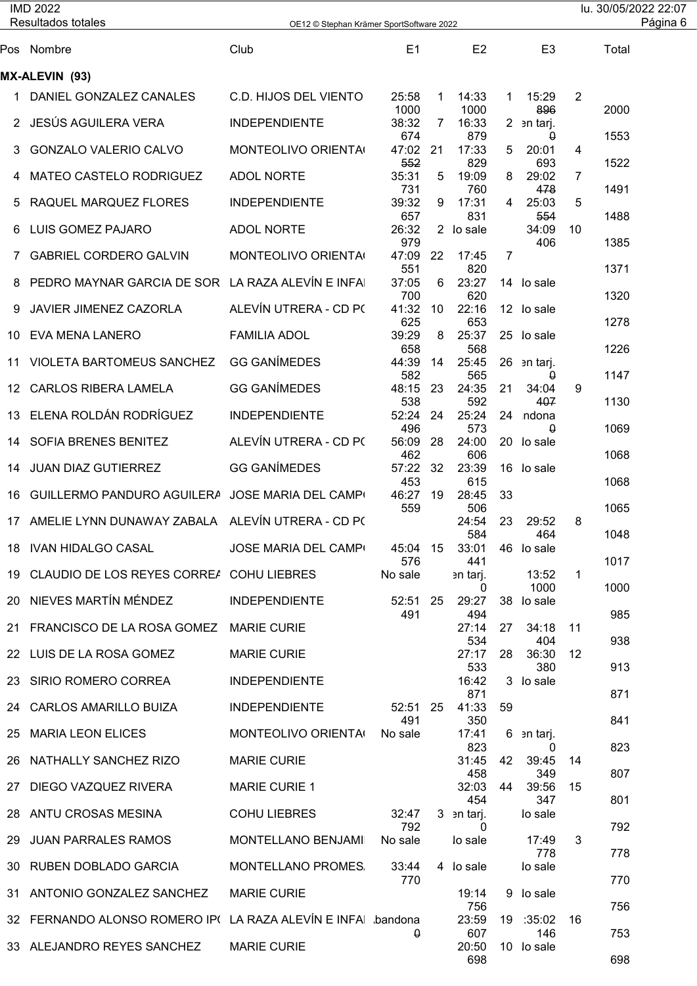|     | <b>IMD 2022</b><br>Resultados totales                        | OE12 © Stephan Krämer SportSoftware 2022 |                      |              |                           |    |                               |                | lu. 30/05/2022 22:07<br>Página 6 |  |
|-----|--------------------------------------------------------------|------------------------------------------|----------------------|--------------|---------------------------|----|-------------------------------|----------------|----------------------------------|--|
| Pos | Nombre                                                       | Club                                     | E <sub>1</sub>       |              | E <sub>2</sub>            |    | E <sub>3</sub>                |                | Total                            |  |
|     | MX-ALEVIN (93)                                               |                                          |                      |              |                           |    |                               |                |                                  |  |
| 1   | DANIEL GONZALEZ CANALES                                      | <b>C.D. HIJOS DEL VIENTO</b>             | 25:58                | $\mathbf{1}$ | 14:33                     | 1  | 15:29                         | $\overline{2}$ |                                  |  |
| 2   | JESÚS AGUILERA VERA                                          | <b>INDEPENDIENTE</b>                     | 1000<br>38:32<br>674 | 7            | 1000<br>16:33<br>879      |    | 896<br>2 $\cdot$ n tarj.<br>0 |                | 2000<br>1553                     |  |
| 3   | <b>GONZALO VALERIO CALVO</b>                                 | MONTEOLIVO ORIENTA                       | 47:02                | 21           | 17:33                     | 5  | 20:01                         | 4              |                                  |  |
| 4   | <b>MATEO CASTELO RODRIGUEZ</b>                               | <b>ADOL NORTE</b>                        | 552<br>35:31         | 5            | 829<br>19:09              | 8  | 693<br>29:02                  | 7              | 1522                             |  |
| 5   | RAQUEL MARQUEZ FLORES                                        | <b>INDEPENDIENTE</b>                     | 731<br>39:32         | 9            | 760<br>17:31              | 4  | 478<br>25:03                  | 5              | 1491                             |  |
| 6   | LUIS GOMEZ PAJARO                                            | <b>ADOL NORTE</b>                        | 657<br>26:32<br>979  |              | 831<br>2 lo sale          |    | 554<br>34:09<br>406           | 10             | 1488<br>1385                     |  |
|     | <b>GABRIEL CORDERO GALVIN</b>                                | MONTEOLIVO ORIENTA                       | 47:09<br>551         | 22           | 17:45<br>820              | 7  |                               |                | 1371                             |  |
| 8   | PEDRO MAYNAR GARCIA DE SOR LA RAZA ALEVÍN E INFA             |                                          | 37:05<br>700         | 6            | 23:27<br>620              |    | 14 lo sale                    |                | 1320                             |  |
| 9   | <b>JAVIER JIMENEZ CAZORLA</b>                                | ALEVÍN UTRERA - CD P(                    | 41:32<br>625         | 10           | 22:16<br>653              |    | 12 lo sale                    |                | 1278                             |  |
| 10  | EVA MENA LANERO                                              | <b>FAMILIA ADOL</b>                      | 39:29<br>658         | 8            | 25:37<br>568              | 25 | lo sale                       |                | 1226                             |  |
| 11  | <b>VIOLETA BARTOMEUS SANCHEZ</b>                             | <b>GG GANÍMEDES</b>                      | 44:39<br>582         | 14           | 25:45<br>565              | 26 | en tarj.<br>0                 |                | 1147                             |  |
| 12  | <b>CARLOS RIBERA LAMELA</b>                                  | <b>GG GANÍMEDES</b>                      | 48:15<br>538         | 23           | 24:35<br>592              | 21 | 34:04<br>407                  | 9              | 1130                             |  |
| 13  | ELENA ROLDÁN RODRÍGUEZ                                       | <b>INDEPENDIENTE</b>                     | 52:24<br>496         | 24           | 25:24<br>573              | 24 | ndona<br>0                    |                | 1069                             |  |
| 14  | SOFIA BRENES BENITEZ                                         | ALEVÍN UTRERA - CD P(                    | 56:09<br>462         | 28           | 24:00<br>606              | 20 | lo sale                       |                | 1068                             |  |
| 14  | <b>JUAN DIAZ GUTIERREZ</b>                                   | <b>GG GANÍMEDES</b>                      | 57:22<br>453         | 32           | 23:39<br>615              | 16 | lo sale                       |                | 1068                             |  |
| 16  | GUILLERMO PANDURO AGUILERA JOSE MARIA DEL CAMPI              |                                          | 46:27<br>559         | 19           | 28:45<br>506              | 33 |                               |                | 1065                             |  |
|     | 17 AMELIE LYNN DUNAWAY ZABALA ALEVÍN UTRERA - CD P(          |                                          |                      |              | 24:54<br>584              | 23 | 29:52<br>464                  | 8              | 1048                             |  |
|     | 18 IVAN HIDALGO CASAL                                        | <b>JOSE MARIA DEL CAMP</b>               | 45:04 15<br>576      |              | 33:01<br>441              | 46 | lo sale                       |                | 1017                             |  |
| 19  | CLAUDIO DE LOS REYES CORREA COHU LIEBRES                     |                                          | No sale              |              | en tarj.<br>0             |    | 13:52<br>1000                 | $\mathbf{1}$   | 1000                             |  |
|     | 20 NIEVES MARTÍN MÉNDEZ                                      | <b>INDEPENDIENTE</b>                     | 52:51<br>491         | -25          | 29:27<br>494              | 38 | lo sale                       |                | 985                              |  |
|     | 21 FRANCISCO DE LA ROSA GOMEZ MARIE CURIE                    |                                          |                      |              | 27:14<br>534              | 27 | 34:18<br>404                  | 11             | 938                              |  |
|     | 22 LUIS DE LA ROSA GOMEZ                                     | <b>MARIE CURIE</b>                       |                      |              | 27:17<br>533              | 28 | 36:30<br>380                  | 12             | 913                              |  |
|     | 23 SIRIO ROMERO CORREA                                       | <b>INDEPENDIENTE</b>                     |                      |              | 16:42<br>871              |    | 3 lo sale                     |                | 871                              |  |
|     | 24 CARLOS AMARILLO BUIZA                                     | <b>INDEPENDIENTE</b>                     | 52:51 25<br>491      |              | 41:33<br>350              | 59 |                               |                | 841                              |  |
| 25  | <b>MARIA LEON ELICES</b>                                     | MONTEOLIVO ORIENTA                       | No sale              |              | 17:41<br>823              | 6  | en tarj.<br>0                 |                | 823                              |  |
|     | 26 NATHALLY SANCHEZ RIZO                                     | <b>MARIE CURIE</b>                       |                      |              | 31:45<br>458              | 42 | 39:45<br>349                  | 14             | 807                              |  |
|     | 27 DIEGO VAZQUEZ RIVERA                                      | <b>MARIE CURIE 1</b>                     |                      |              | 32:03<br>454              | 44 | 39:56<br>347                  | 15             | 801                              |  |
|     | 28 ANTU CROSAS MESINA                                        | <b>COHU LIEBRES</b>                      | 32:47<br>792         |              | 3 en tarj.<br>$\mathbf 0$ |    | lo sale                       |                | 792                              |  |
| 29  | <b>JUAN PARRALES RAMOS</b>                                   | <b>MONTELLANO BENJAMI</b>                | No sale              |              | lo sale                   |    | 17:49<br>778                  | 3              | 778                              |  |
| 30  | RUBEN DOBLADO GARCIA                                         | MONTELLANO PROMES                        | 33:44<br>770         |              | 4 lo sale                 |    | lo sale                       |                | 770                              |  |
|     | 31 ANTONIO GONZALEZ SANCHEZ                                  | <b>MARIE CURIE</b>                       |                      |              | 19:14<br>756              | 9  | lo sale                       |                | 756                              |  |
|     | 32 FERNANDO ALONSO ROMERO IP( LA RAZA ALEVÍN E INFA .bandona |                                          | 0                    |              | 23:59<br>607              | 19 | :35:02<br>146                 | 16             | 753                              |  |
|     | 33 ALEJANDRO REYES SANCHEZ                                   | <b>MARIE CURIE</b>                       |                      |              | 20:50<br>698              |    | 10 lo sale                    |                | 698                              |  |
|     |                                                              |                                          |                      |              |                           |    |                               |                |                                  |  |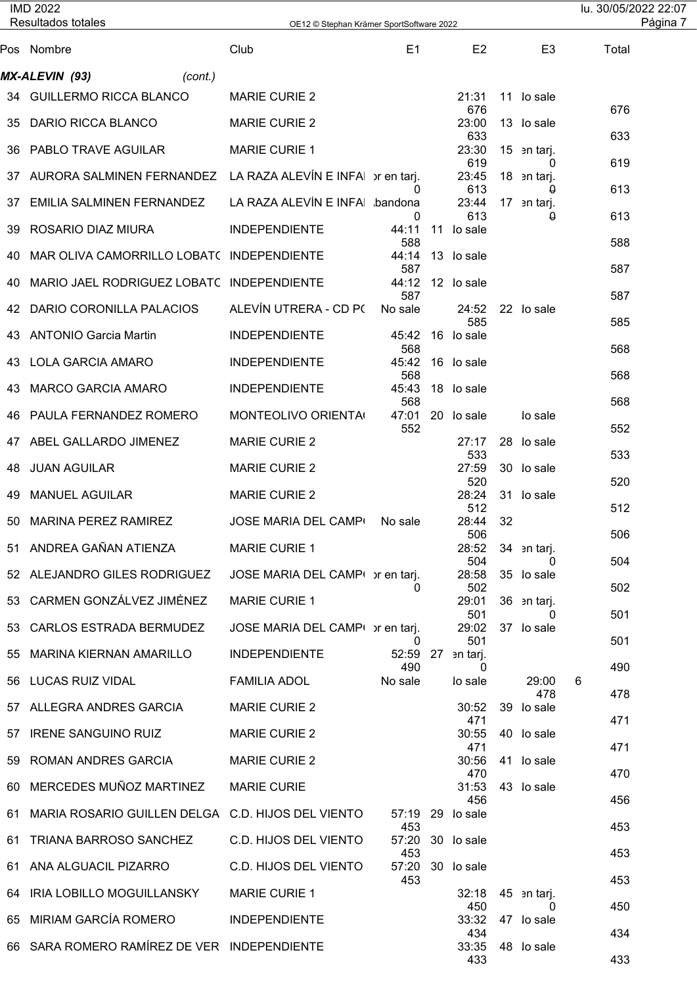|     | <b>IMD 2022</b><br>Resultados totales                          | OE12 © Stephan Krämer SportSoftware 2022 |                   |    |                |                 |                    |   | lu. 30/05/2022 22:07<br>Página 7 |  |
|-----|----------------------------------------------------------------|------------------------------------------|-------------------|----|----------------|-----------------|--------------------|---|----------------------------------|--|
|     | Pos Nombre                                                     | Club                                     | E1                |    | E <sub>2</sub> |                 | E <sub>3</sub>     |   | Total                            |  |
|     | <b>MX-ALEVIN (93)</b><br>(cont.)                               |                                          |                   |    |                |                 |                    |   |                                  |  |
|     | 34 GUILLERMO RICCA BLANCO                                      | <b>MARIE CURIE 2</b>                     |                   |    | 21:31<br>676   |                 | 11 lo sale         |   | 676                              |  |
| 35  | DARIO RICCA BLANCO                                             | <b>MARIE CURIE 2</b>                     |                   |    | 23:00<br>633   |                 | 13 lo sale         |   | 633                              |  |
| 36  | PABLO TRAVE AGUILAR                                            | <b>MARIE CURIE 1</b>                     |                   |    | 23:30<br>619   |                 | 15 en tarj.        |   |                                  |  |
|     | 37 AURORA SALMINEN FERNANDEZ LA RAZA ALEVÍN E INFALIT en tarj. |                                          | 0                 |    | 23:45<br>613   | 18              | 0<br>en tarj.      |   | 619<br>613                       |  |
| 37  | EMILIA SALMINEN FERNANDEZ                                      | LA RAZA ALEVÍN E INFA                    | bandona           |    | 23:44<br>613   | 17              | 0<br>en tarj.<br>0 |   | 613                              |  |
| 39  | ROSARIO DIAZ MIURA                                             | <b>INDEPENDIENTE</b>                     | 0<br>44:11<br>588 |    | 11 lo sale     |                 |                    |   | 588                              |  |
| 40  | MAR OLIVA CAMORRILLO LOBAT( INDEPENDIENTE                      |                                          | 44:14<br>587      |    | 13 lo sale     |                 |                    |   | 587                              |  |
| 40  | MARIO JAEL RODRIGUEZ LOBATC INDEPENDIENTE                      |                                          | 44:12<br>587      |    | 12 lo sale     |                 |                    |   | 587                              |  |
| 42  | DARIO CORONILLA PALACIOS                                       | ALEVÍN UTRERA - CD P(                    | No sale           |    | 24:52<br>585   |                 | 22 lo sale         |   | 585                              |  |
| 43  | <b>ANTONIO Garcia Martin</b>                                   | <b>INDEPENDIENTE</b>                     | 45:42<br>568      |    | 16 lo sale     |                 |                    |   | 568                              |  |
| 43  | <b>LOLA GARCIA AMARO</b>                                       | <b>INDEPENDIENTE</b>                     | 45:42<br>568      |    | 16 lo sale     |                 |                    |   | 568                              |  |
| 43  | <b>MARCO GARCIA AMARO</b>                                      | <b>INDEPENDIENTE</b>                     | 45:43<br>568      |    | 18 lo sale     |                 |                    |   | 568                              |  |
| 46. | PAULA FERNANDEZ ROMERO                                         | MONTEOLIVO ORIENTA                       | 47:01<br>552      | 20 | lo sale        |                 | lo sale            |   | 552                              |  |
|     | 47 ABEL GALLARDO JIMENEZ                                       | <b>MARIE CURIE 2</b>                     |                   |    | 27:17<br>533   | 28              | lo sale            |   | 533                              |  |
| 48  | <b>JUAN AGUILAR</b>                                            | <b>MARIE CURIE 2</b>                     |                   |    | 27:59<br>520   | 30 <sub>o</sub> | lo sale            |   | 520                              |  |
| 49  | <b>MANUEL AGUILAR</b>                                          | <b>MARIE CURIE 2</b>                     |                   |    | 28:24<br>512   | 31              | lo sale            |   | 512                              |  |
| 50  | <b>MARINA PEREZ RAMIREZ</b>                                    | <b>JOSE MARIA DEL CAMP</b>               | No sale           |    | 28:44<br>506   | 32              |                    |   | 506                              |  |
|     | 51 ANDREA GAÑAN ATIENZA                                        | <b>MARIE CURIE 1</b>                     |                   |    | 28:52<br>504   | 34              | en tarj.<br>0      |   | 504                              |  |
|     | 52 ALEJANDRO GILES RODRIGUEZ                                   | JOSE MARIA DEL CAMPI or en tarj.         | 0                 |    | 28:58<br>502   |                 | 35 lo sale         |   | 502                              |  |
| 53  | CARMEN GONZÁLVEZ JIMÉNEZ                                       | <b>MARIE CURIE 1</b>                     |                   |    | 29:01<br>501   |                 | 36 en tarj.<br>0   |   | 501                              |  |
| 53  | CARLOS ESTRADA BERMUDEZ                                        | JOSE MARIA DEL CAMPI or en tarj.         | 0                 |    | 29:02<br>501   | 37              | lo sale            |   | 501                              |  |
| 55  | <b>MARINA KIERNAN AMARILLO</b>                                 | <b>INDEPENDIENTE</b>                     | 52:59<br>490      | 27 | en tarj.<br>0  |                 |                    |   | 490                              |  |
| 56. | LUCAS RUIZ VIDAL                                               | <b>FAMILIA ADOL</b>                      | No sale           |    | lo sale        |                 | 29:00<br>478       | 6 | 478                              |  |
| 57  | ALLEGRA ANDRES GARCIA                                          | <b>MARIE CURIE 2</b>                     |                   |    | 30:52<br>471   | 39              | lo sale            |   | 471                              |  |
| 57  | <b>IRENE SANGUINO RUIZ</b>                                     | <b>MARIE CURIE 2</b>                     |                   |    | 30:55<br>471   |                 | 40 lo sale         |   | 471                              |  |
| 59  | ROMAN ANDRES GARCIA                                            | <b>MARIE CURIE 2</b>                     |                   |    | 30:56<br>470   |                 | 41 lo sale         |   | 470                              |  |
| 60  | MERCEDES MUÑOZ MARTINEZ                                        | <b>MARIE CURIE</b>                       |                   |    | 31:53<br>456   | 43              | lo sale            |   | 456                              |  |
| 61  | MARIA ROSARIO GUILLEN DELGA C.D. HIJOS DEL VIENTO              |                                          | 57:19<br>453      |    | 29 lo sale     |                 |                    |   | 453                              |  |
| 61  | TRIANA BARROSO SANCHEZ                                         | C.D. HIJOS DEL VIENTO                    | 57:20<br>453      |    | 30 lo sale     |                 |                    |   | 453                              |  |
| 61  | ANA ALGUACIL PIZARRO                                           | C.D. HIJOS DEL VIENTO                    | 57:20<br>453      | 30 | lo sale        |                 |                    |   | 453                              |  |
| 64. | IRIA LOBILLO MOGUILLANSKY                                      | <b>MARIE CURIE 1</b>                     |                   |    | 32:18<br>450   | 45              | en tarj.<br>0      |   | 450                              |  |
| 65  | MIRIAM GARCÍA ROMERO                                           | <b>INDEPENDIENTE</b>                     |                   |    | 33:32<br>434   | 47              | lo sale            |   | 434                              |  |
|     | 66 SARA ROMERO RAMÍREZ DE VER INDEPENDIENTE                    |                                          |                   |    | 33:35<br>433   |                 | 48 lo sale         |   | 433                              |  |
|     |                                                                |                                          |                   |    |                |                 |                    |   |                                  |  |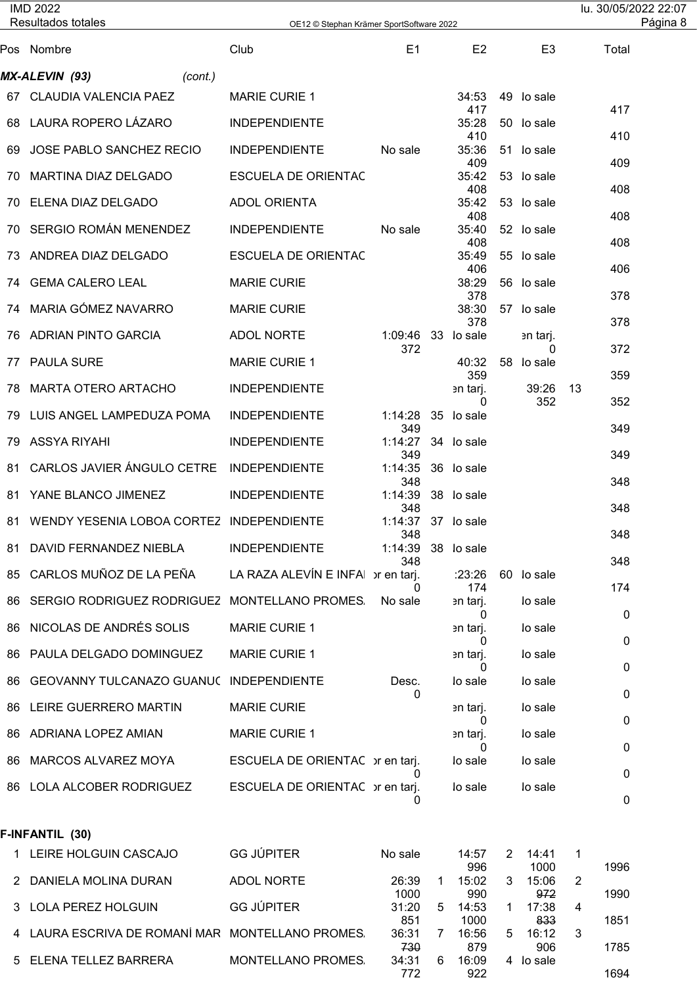|     | <b>IMD 2022</b><br>Resultados totales          | OE12 © Stephan Krämer SportSoftware 2022 |                           |             |                    |    |                |    | lu. 30/05/2022 22:07<br>Página 8 |  |
|-----|------------------------------------------------|------------------------------------------|---------------------------|-------------|--------------------|----|----------------|----|----------------------------------|--|
|     | Pos Nombre                                     | Club                                     | E <sub>1</sub>            |             | E <sub>2</sub>     |    | E <sub>3</sub> |    | Total                            |  |
|     | MX-ALEVIN (93)<br>(cont.)                      |                                          |                           |             |                    |    |                |    |                                  |  |
|     | 67 CLAUDIA VALENCIA PAEZ                       | <b>MARIE CURIE 1</b>                     |                           |             | 34:53<br>417       |    | 49 lo sale     |    | 417                              |  |
|     | 68 LAURA ROPERO LÁZARO                         | <b>INDEPENDIENTE</b>                     |                           |             | 35:28              |    | 50 lo sale     |    |                                  |  |
| 69. | JOSE PABLO SANCHEZ RECIO                       | <b>INDEPENDIENTE</b>                     | No sale                   |             | 410<br>35:36       |    | 51 lo sale     |    | 410                              |  |
|     | 70 MARTINA DIAZ DELGADO                        | <b>ESCUELA DE ORIENTAC</b>               |                           |             | 409<br>35:42       |    | 53 lo sale     |    | 409                              |  |
| 70. | ELENA DIAZ DELGADO                             | <b>ADOL ORIENTA</b>                      |                           |             | 408<br>35:42       |    | 53 lo sale     |    | 408                              |  |
| 70  | SERGIO ROMÁN MENENDEZ                          | <b>INDEPENDIENTE</b>                     | No sale                   |             | 408<br>35:40       |    | 52 lo sale     |    | 408                              |  |
|     | 73 ANDREA DIAZ DELGADO                         | <b>ESCUELA DE ORIENTAC</b>               |                           |             | 408<br>35:49       |    | 55 lo sale     |    | 408                              |  |
|     | 74 GEMA CALERO LEAL                            | <b>MARIE CURIE</b>                       |                           |             | 406<br>38:29       |    | 56 lo sale     |    | 406                              |  |
|     | 74 MARIA GÓMEZ NAVARRO                         | <b>MARIE CURIE</b>                       |                           |             | 378<br>38:30       | 57 | lo sale        |    | 378                              |  |
| 76. | ADRIAN PINTO GARCIA                            | ADOL NORTE                               | 1:09:46 33 lo sale        |             | 378                |    | en tarj.       |    | 378                              |  |
| 77  | <b>PAULA SURE</b>                              | <b>MARIE CURIE 1</b>                     | 372                       |             | 40:32              | 58 | 0<br>lo sale   |    | 372                              |  |
| 78. | MARTA OTERO ARTACHO                            | <b>INDEPENDIENTE</b>                     |                           |             | 359<br>en tarj.    |    | 39:26          | 13 | 359                              |  |
|     | 79 LUIS ANGEL LAMPEDUZA POMA                   | <b>INDEPENDIENTE</b>                     | 1:14:28                   |             | 0<br>35 lo sale    |    | 352            |    | 352                              |  |
| 79. | <b>ASSYA RIYAHI</b>                            | <b>INDEPENDIENTE</b>                     | 349<br>1:14:27            |             | 34 lo sale         |    |                |    | 349                              |  |
| 81  | CARLOS JAVIER ÁNGULO CETRE INDEPENDIENTE       |                                          | 349<br>1:14:35            |             | 36 lo sale         |    |                |    | 349                              |  |
| 81  | YANE BLANCO JIMENEZ                            | <b>INDEPENDIENTE</b>                     | 348<br>1:14:39            |             | 38 lo sale         |    |                |    | 348                              |  |
|     | 81 WENDY YESENIA LOBOA CORTEZ INDEPENDIENTE    |                                          | 348<br>1:14:37 37 lo sale |             |                    |    |                |    | 348                              |  |
| 81. | DAVID FERNANDEZ NIEBLA                         | <b>INDEPENDIENTE</b>                     | 348<br>1:14:39            | 38          | lo sale            |    |                |    | 348<br>348                       |  |
| 85  | CARLOS MUÑOZ DE LA PEÑA                        | LA RAZA ALEVÍN E INFA pr en tarj.        | 348                       |             | :23:26<br>174      | 60 | lo sale        |    |                                  |  |
| 86  | SERGIO RODRIGUEZ RODRIGUEZ MONTELLANO PROMES   |                                          | 0<br>No sale              |             | en tarj.           |    | lo sale        |    | 174<br>0                         |  |
| 86  | NICOLAS DE ANDRÉS SOLIS                        | <b>MARIE CURIE 1</b>                     |                           |             | 0<br>en tarj.      |    | lo sale        |    |                                  |  |
| 86  | PAULA DELGADO DOMINGUEZ                        | <b>MARIE CURIE 1</b>                     |                           |             | 0<br>en tarj.<br>0 |    | lo sale        |    | 0                                |  |
| 86  | <b>GEOVANNY TULCANAZO GUANU( INDEPENDIENTE</b> |                                          | Desc.<br>0                |             | lo sale            |    | lo sale        |    | 0                                |  |
| 86  | LEIRE GUERRERO MARTIN                          | <b>MARIE CURIE</b>                       |                           |             | en tarj.<br>0      |    | lo sale        |    | 0<br>0                           |  |
| 86  | ADRIANA LOPEZ AMIAN                            | <b>MARIE CURIE 1</b>                     |                           |             | en tarj.<br>0      |    | lo sale        |    | 0                                |  |
| 86  | <b>MARCOS ALVAREZ MOYA</b>                     | ESCUELA DE ORIENTAC or en tarj.          | 0                         |             | lo sale            |    | lo sale        |    | 0                                |  |
| 86  | LOLA ALCOBER RODRIGUEZ                         | ESCUELA DE ORIENTAC or en tarj.          | 0                         |             | lo sale            |    | lo sale        |    | 0                                |  |
|     |                                                |                                          |                           |             |                    |    |                |    |                                  |  |
|     | F-INFANTIL (30)                                |                                          |                           |             |                    |    |                |    |                                  |  |
| 1   | LEIRE HOLGUIN CASCAJO                          | <b>GG JÚPITER</b>                        | No sale                   |             | 14:57<br>996       | 2  | 14:41<br>1000  | 1  | 1996                             |  |
|     | DANIELA MOLINA DURAN                           | <b>ADOL NORTE</b>                        | 26:39<br>1000             | 1           | 15:02<br>990       | 3  | 15:06<br>972   | 2  | 1990                             |  |
| 3   | LOLA PEREZ HOLGUIN                             | <b>GG JÚPITER</b>                        | 31:20<br>851              | 5           | 14:53<br>1000      | 1. | 17:38<br>833   | 4  | 1851                             |  |
|     | LAURA ESCRIVA DE ROMANÍ MAR MONTELLANO PROMES  |                                          | 36:31<br>730              | $7^{\circ}$ | 16:56<br>879       | 5  | 16:12<br>906   | 3  | 1785                             |  |
| 5   | ELENA TELLEZ BARRERA                           | <b>MONTELLANO PROMES</b>                 | 34:31<br>772              | 6           | 16:09<br>922       |    | 4 lo sale      |    | 1694                             |  |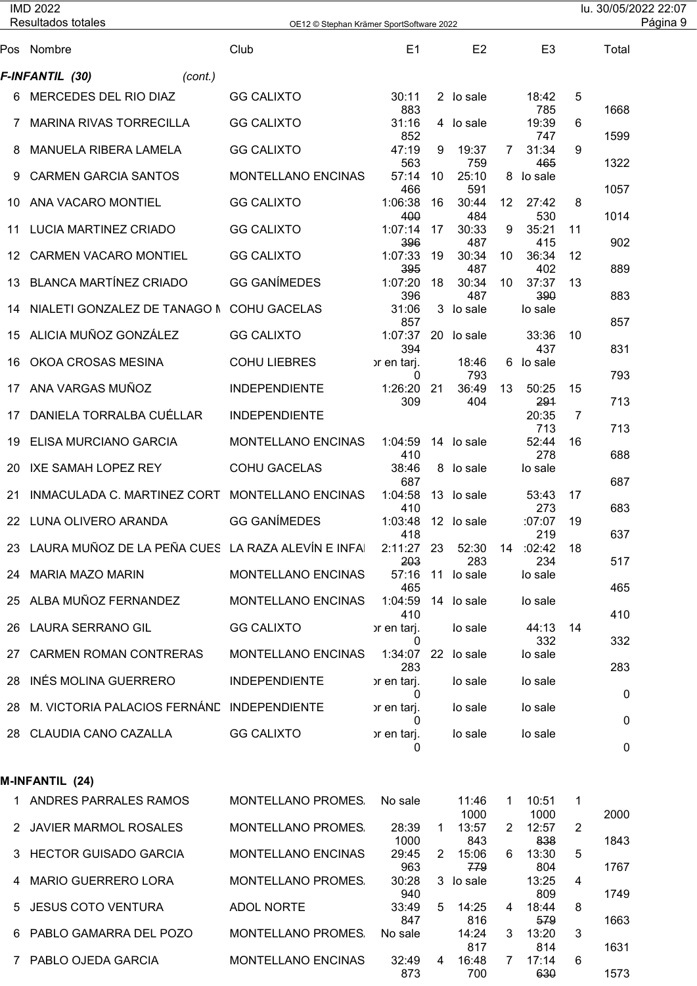|     | <b>IMD 2022</b><br>Resultados totales                | OE12 © Stephan Krämer SportSoftware 2022 |                           |                |                     |                |                  |                |             | lu. 30/05/2022 22:07<br>Página 9 |
|-----|------------------------------------------------------|------------------------------------------|---------------------------|----------------|---------------------|----------------|------------------|----------------|-------------|----------------------------------|
|     | Pos Nombre                                           | Club                                     | E <sub>1</sub>            |                | E2                  |                | E <sub>3</sub>   |                | Total       |                                  |
|     | <b>F-INFANTIL (30)</b><br>(cont.)                    |                                          |                           |                |                     |                |                  |                |             |                                  |
| 6   | MERCEDES DEL RIO DIAZ                                | <b>GG CALIXTO</b>                        | 30:11                     |                | 2 lo sale           |                | 18:42            | 5              |             |                                  |
|     | MARINA RIVAS TORRECILLA                              | <b>GG CALIXTO</b>                        | 883<br>31:16              |                | 4 lo sale           |                | 785<br>19:39     | 6              | 1668        |                                  |
| 8   | MANUELA RIBERA LAMELA                                | <b>GG CALIXTO</b>                        | 852<br>47:19              | 9              | 19:37               | $\overline{7}$ | 747<br>31:34     | 9              | 1599        |                                  |
|     | <b>CARMEN GARCIA SANTOS</b>                          | <b>MONTELLANO ENCINAS</b>                | 563<br>57:14              | -10            | 759<br>25:10        |                | 465<br>8 lo sale |                | 1322        |                                  |
| 10. | ANA VACARO MONTIEL                                   | <b>GG CALIXTO</b>                        | 466<br>1:06:38<br>400     | 16             | 591<br>30:44<br>484 | 12             | 27:42<br>530     | 8              | 1057        |                                  |
|     | 11 LUCIA MARTINEZ CRIADO                             | <b>GG CALIXTO</b>                        | $1:07:14$ 17<br>396       |                | 30:33<br>487        | 9              | 35:21<br>415     | 11             | 1014<br>902 |                                  |
|     | 12 CARMEN VACARO MONTIEL                             | <b>GG CALIXTO</b>                        | 1:07:33<br>395            | 19             | 30:34<br>487        | 10             | 36:34<br>402     | 12             | 889         |                                  |
| 13  | <b>BLANCA MARTÍNEZ CRIADO</b>                        | <b>GG GANÍMEDES</b>                      | 1:07:20<br>396            | 18             | 30:34<br>487        | 10             | 37:37<br>390     | 13             | 883         |                                  |
|     | 14 NIALETI GONZALEZ DE TANAGO N COHU GACELAS         |                                          | 31:06<br>857              |                | 3 lo sale           |                | lo sale          |                | 857         |                                  |
| 15  | ALICIA MUÑOZ GONZÁLEZ                                | <b>GG CALIXTO</b>                        | 1:07:37 20<br>394         |                | lo sale             |                | 33:36<br>437     | 10             | 831         |                                  |
| 16. | OKOA CROSAS MESINA                                   | <b>COHU LIEBRES</b>                      | or en tarj.<br>0          |                | 18:46<br>793        |                | 6 lo sale        |                | 793         |                                  |
|     | 17 ANA VARGAS MUÑOZ                                  | <b>INDEPENDIENTE</b>                     | 1:26:20 21<br>309         |                | 36:49<br>404        | 13             | 50:25<br>291     | 15             | 713         |                                  |
|     | 17 DANIELA TORRALBA CUÉLLAR                          | <b>INDEPENDIENTE</b>                     |                           |                |                     |                | 20:35<br>713     | 7              | 713         |                                  |
|     | 19 ELISA MURCIANO GARCIA                             | <b>MONTELLANO ENCINAS</b>                | 1:04:59 14 lo sale<br>410 |                |                     |                | 52:44<br>278     | 16             | 688         |                                  |
|     | 20 IXE SAMAH LOPEZ REY                               | <b>COHU GACELAS</b>                      | 38:46<br>687              |                | 8 lo sale           |                | lo sale          |                | 687         |                                  |
| 21  | INMACULADA C. MARTINEZ CORT MONTELLANO ENCINAS       |                                          | 1:04:58<br>410            |                | 13 lo sale          |                | 53:43<br>273     | 17             | 683         |                                  |
|     | 22 LUNA OLIVERO ARANDA                               | <b>GG GANÍMEDES</b>                      | 1:03:48<br>418            |                | 12 lo sale          |                | :07:07<br>219    | 19             | 637         |                                  |
|     | 23 LAURA MUÑOZ DE LA PEÑA CUES LA RAZA ALEVÍN E INFA |                                          | 2:11:27<br>203            | 23             | 52:30<br>283        | 14             | :02:42<br>234    | 18             | 517         |                                  |
|     | 24 MARIA MAZO MARIN                                  | <b>MONTELLANO ENCINAS</b>                | 57:16<br>465              | 11             | lo sale             |                | lo sale          |                | 465         |                                  |
|     | 25 ALBA MUÑOZ FERNANDEZ                              | <b>MONTELLANO ENCINAS</b>                | 1:04:59<br>410            | 14             | lo sale             |                | lo sale          |                | 410         |                                  |
|     | 26 LAURA SERRANO GIL                                 | <b>GG CALIXTO</b>                        | or en tarj.<br>0          |                | lo sale             |                | 44:13<br>332     | 14             | 332         |                                  |
|     | 27 CARMEN ROMAN CONTRERAS                            | <b>MONTELLANO ENCINAS</b>                | 1:34:07 22<br>283         |                | lo sale             |                | lo sale          |                | 283         |                                  |
| 28  | INÉS MOLINA GUERRERO                                 | <b>INDEPENDIENTE</b>                     | or en tarj.<br>0          |                | lo sale             |                | lo sale          |                | 0           |                                  |
| 28  | M. VICTORIA PALACIOS FERNÁNE INDEPENDIENTE           |                                          | or en tarj.<br>0          |                | lo sale             |                | lo sale          |                | 0           |                                  |
| 28. | CLAUDIA CANO CAZALLA                                 | <b>GG CALIXTO</b>                        | or en tarj.<br>0          |                | lo sale             |                | lo sale          |                | 0           |                                  |
|     |                                                      |                                          |                           |                |                     |                |                  |                |             |                                  |
|     | <b>M-INFANTIL (24)</b>                               |                                          |                           |                |                     |                |                  |                |             |                                  |
|     | 1 ANDRES PARRALES RAMOS                              | <b>MONTELLANO PROMES</b>                 | No sale                   |                | 11:46<br>1000       | $\mathbf{1}$   | 10:51<br>1000    | $\mathbf{1}$   | 2000        |                                  |
|     | 2 JAVIER MARMOL ROSALES                              | <b>MONTELLANO PROMES</b>                 | 28:39<br>1000             | $\mathbf{1}$   | 13:57<br>843        | 2              | 12:57<br>838     | $\overline{2}$ | 1843        |                                  |
| 3   | <b>HECTOR GUISADO GARCIA</b>                         | <b>MONTELLANO ENCINAS</b>                | 29:45<br>963              | $\overline{2}$ | 15:06<br>779        | 6              | 13:30<br>804     | 5              | 1767        |                                  |
| 4   | <b>MARIO GUERRERO LORA</b>                           | <b>MONTELLANO PROMES</b>                 | 30:28<br>940              |                | 3 lo sale           |                | 13:25<br>809     | 4              | 1749        |                                  |
| 5   | <b>JESUS COTO VENTURA</b>                            | <b>ADOL NORTE</b>                        | 33:49<br>847              | 5              | 14:25<br>816        | $\overline{4}$ | 18:44<br>579     | 8              | 1663        |                                  |
|     | PABLO GAMARRA DEL POZO                               | <b>MONTELLANO PROMES</b>                 | No sale                   |                | 14:24<br>817        | 3              | 13:20<br>814     | 3              | 1631        |                                  |
|     | 7 PABLO OJEDA GARCIA                                 | <b>MONTELLANO ENCINAS</b>                | 32:49<br>873              | 4              | 16:48<br>700        | 7              | 17:14<br>630     | 6              | 1573        |                                  |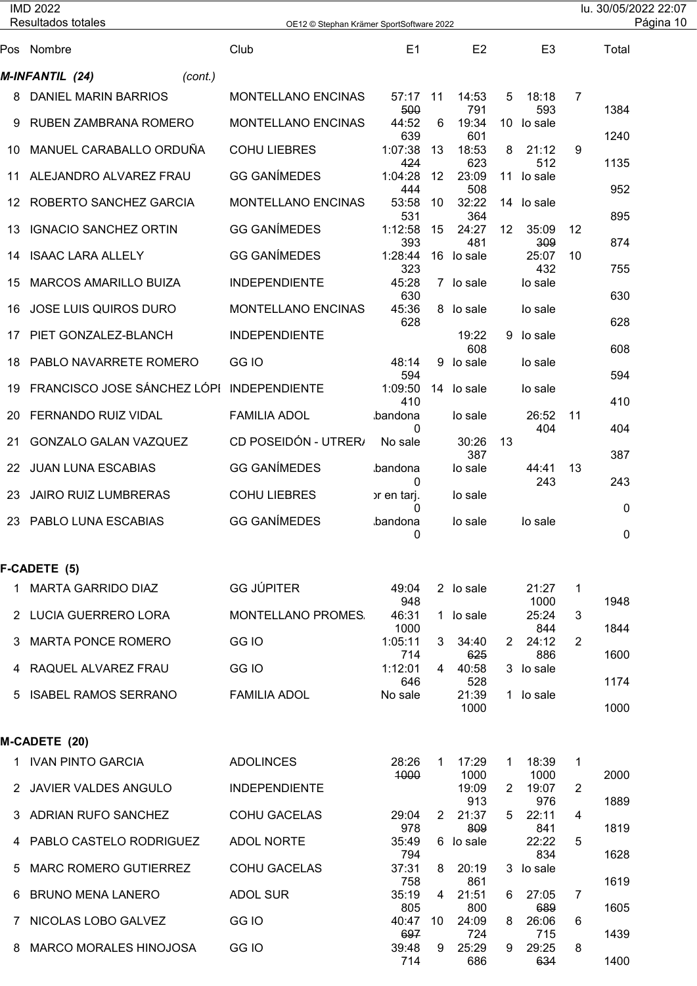|    | <b>IMD 2022</b><br>Resultados totales     | OE12 © Stephan Krämer SportSoftware 2022 |                     |                |                     |    |                     |              | lu. 30/05/2022 22:07<br>Página 10 |
|----|-------------------------------------------|------------------------------------------|---------------------|----------------|---------------------|----|---------------------|--------------|-----------------------------------|
|    | Pos Nombre                                | Club                                     | E <sub>1</sub>      |                | E <sub>2</sub>      |    | E <sub>3</sub>      |              | Total                             |
|    | <b>M-INFANTIL</b> (24)<br>(cont.)         |                                          |                     |                |                     |    |                     |              |                                   |
| 8  | DANIEL MARIN BARRIOS                      | MONTELLANO ENCINAS                       | 57:17<br>500        | 11             | 14:53<br>791        | 5  | 18:18<br>593        | 7            | 1384                              |
| 9  | <b>RUBEN ZAMBRANA ROMERO</b>              | <b>MONTELLANO ENCINAS</b>                | 44:52<br>639        | 6              | 19:34<br>601        | 10 | lo sale             |              | 1240                              |
| 10 | MANUEL CARABALLO ORDUÑA                   | <b>COHU LIEBRES</b>                      | 1:07:38<br>424      | 13             | 18:53<br>623        | 8  | 21:12<br>512        | 9            | 1135                              |
| 11 | ALEJANDRO ALVAREZ FRAU                    | <b>GG GANÍMEDES</b>                      | 1:04:28<br>444      | 12             | 23:09<br>508        | 11 | lo sale             |              | 952                               |
| 12 | ROBERTO SANCHEZ GARCIA                    | <b>MONTELLANO ENCINAS</b>                | 53:58<br>531        | 10             | 32:22<br>364        | 14 | lo sale             |              | 895                               |
| 13 | <b>IGNACIO SANCHEZ ORTIN</b>              | <b>GG GANÍMEDES</b>                      | 1:12:58<br>393      | 15             | 24:27<br>481        | 12 | 35:09<br>309        | 12           | 874                               |
| 14 | <b>ISAAC LARA ALLELY</b>                  | <b>GG GANÍMEDES</b>                      | 1:28:44<br>323      |                | 16 lo sale          |    | 25:07<br>432        | 10           | 755                               |
| 15 | <b>MARCOS AMARILLO BUIZA</b>              | <b>INDEPENDIENTE</b>                     | 45:28<br>630        |                | 7 lo sale           |    | lo sale             |              | 630                               |
| 16 | <b>JOSE LUIS QUIROS DURO</b>              | <b>MONTELLANO ENCINAS</b>                | 45:36<br>628        |                | 8 lo sale           |    | lo sale             |              | 628                               |
| 17 | PIET GONZALEZ-BLANCH                      | <b>INDEPENDIENTE</b>                     |                     |                | 19:22<br>608        | 9  | lo sale             |              | 608                               |
| 18 | PABLO NAVARRETE ROMERO                    | GG IO                                    | 48:14<br>594        |                | 9 lo sale           |    | lo sale             |              | 594                               |
| 19 | FRANCISCO JOSE SÁNCHEZ LÓPI INDEPENDIENTE |                                          | 1:09:50<br>410      |                | 14 lo sale          |    | lo sale             |              | 410                               |
| 20 | FERNANDO RUIZ VIDAL                       | <b>FAMILIA ADOL</b>                      | bandona<br>0        |                | lo sale             |    | 26:52<br>404        | 11           | 404                               |
| 21 | <b>GONZALO GALAN VAZQUEZ</b>              | CD POSEIDÓN - UTRER                      | No sale             |                | 30:26<br>387        | 13 |                     |              | 387                               |
| 22 | <b>JUAN LUNA ESCABIAS</b>                 | <b>GG GANÍMEDES</b>                      | bandona<br>0        |                | lo sale             |    | 44:41<br>243        | 13           | 243                               |
| 23 | <b>JAIRO RUIZ LUMBRERAS</b>               | <b>COHU LIEBRES</b>                      | or en tarj.<br>0    |                | lo sale             |    |                     |              | 0                                 |
|    | 23 PABLO LUNA ESCABIAS                    | <b>GG GANÍMEDES</b>                      | .bandona<br>0       |                | lo sale             |    | lo sale             |              | 0                                 |
|    | F-CADETE (5)                              |                                          |                     |                |                     |    |                     |              |                                   |
| 1. | MARTA GARRIDO DIAZ                        | <b>GG JÚPITER</b>                        | 49:04<br>948        |                | 2 lo sale           |    | 21:27<br>1000       | 1            | 1948                              |
| 2  | LUCIA GUERRERO LORA                       | <b>MONTELLANO PROMES</b>                 | 46:31<br>1000       |                | 1 lo sale           |    | 25:24<br>844        | 3            | 1844                              |
| 3  | <b>MARTA PONCE ROMERO</b>                 | GG IO                                    | 1:05:11<br>714      | 3              | 34:40<br>625        | 2  | 24:12<br>886        | 2            | 1600                              |
| 4  | RAQUEL ALVAREZ FRAU                       | GG IO                                    | 1:12:01<br>646      | 4              | 40:58<br>528        |    | 3 lo sale           |              | 1174                              |
| 5  | <b>ISABEL RAMOS SERRANO</b>               | <b>FAMILIA ADOL</b>                      | No sale             |                | 21:39<br>1000       |    | 1 lo sale           |              | 1000                              |
|    |                                           |                                          |                     |                |                     |    |                     |              |                                   |
|    | M-CADETE (20)<br>1 IVAN PINTO GARCIA      | <b>ADOLINCES</b>                         | 28:26               | 1              | 17:29               | 1  | 18:39               | $\mathbf{1}$ |                                   |
| 2  | JAVIER VALDES ANGULO                      | <b>INDEPENDIENTE</b>                     | 1000                |                | 1000<br>19:09       | 2  | 1000<br>19:07       | 2            | 2000                              |
| 3  | <b>ADRIAN RUFO SANCHEZ</b>                | <b>COHU GACELAS</b>                      | 29:04               | $\overline{2}$ | 913<br>21:37        | 5  | 976<br>22:11        | 4            | 1889                              |
| 4  | PABLO CASTELO RODRIGUEZ                   | <b>ADOL NORTE</b>                        | 978<br>35:49        |                | 809<br>6 lo sale    |    | 841<br>22:22        | 5            | 1819                              |
| 5  | <b>MARC ROMERO GUTIERREZ</b>              | <b>COHU GACELAS</b>                      | 794<br>37:31        | 8              | 20:19               | 3  | 834<br>lo sale      |              | 1628                              |
| 6  | <b>BRUNO MENA LANERO</b>                  | <b>ADOL SUR</b>                          | 758<br>35:19        | 4              | 861<br>21:51        | 6  | 27:05               | 7            | 1619                              |
| 7  | NICOLAS LOBO GALVEZ                       | GG IO                                    | 805<br>40:47        | 10             | 800<br>24:09        | 8  | 689<br>26:06        | 6            | 1605                              |
| 8  | <b>MARCO MORALES HINOJOSA</b>             | GG IO                                    | 697<br>39:48<br>714 | 9              | 724<br>25:29<br>686 | 9  | 715<br>29:25<br>634 | 8            | 1439<br>1400                      |
|    |                                           |                                          |                     |                |                     |    |                     |              |                                   |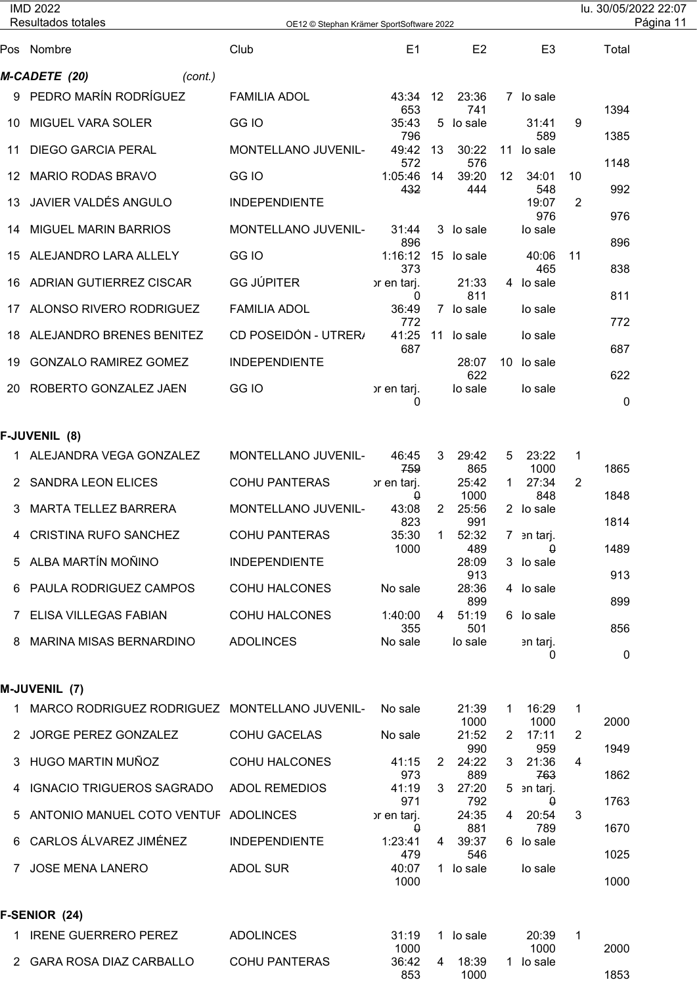|     | <b>IMD 2022</b><br>Resultados totales           | OE12 © Stephan Krämer SportSoftware 2022 |                      |                |                  |              |                  |              | lu. 30/05/2022 22:07<br>Página 11 |  |
|-----|-------------------------------------------------|------------------------------------------|----------------------|----------------|------------------|--------------|------------------|--------------|-----------------------------------|--|
| Pos | Nombre                                          | Club                                     | E <sub>1</sub>       |                | E <sub>2</sub>   |              | E <sub>3</sub>   |              | Total                             |  |
|     | M-CADETE (20)<br>(cont.)                        |                                          |                      |                |                  |              |                  |              |                                   |  |
|     | 9 PEDRO MARÍN RODRÍGUEZ                         | <b>FAMILIA ADOL</b>                      | 43:34<br>653         | 12             | 23:36<br>741     | 7            | lo sale          |              | 1394                              |  |
| 10  | <b>MIGUEL VARA SOLER</b>                        | GG IO                                    | 35:43<br>796         | 5              | lo sale          |              | 31:41<br>589     | 9            | 1385                              |  |
| 11  | <b>DIEGO GARCIA PERAL</b>                       | MONTELLANO JUVENIL-                      | 49:42                | 13             | 30:22<br>576     | 11           | lo sale          |              |                                   |  |
| 12  | <b>MARIO RODAS BRAVO</b>                        | GG <sub>IO</sub>                         | 572<br>1:05:46       | 14             | 39:20            | 12           | 34:01            | 10           | 1148                              |  |
| 13  | JAVIER VALDÉS ANGULO                            | <b>INDEPENDIENTE</b>                     | 432                  |                | 444              |              | 548<br>19:07     | 2            | 992                               |  |
| 14  | <b>MIGUEL MARIN BARRIOS</b>                     | MONTELLANO JUVENIL-                      | 31:44                |                | 3 lo sale        |              | 976<br>lo sale   |              | 976                               |  |
| 15  | ALEJANDRO LARA ALLELY                           | GG IO                                    | 896<br>1:16:12       |                | 15 lo sale       |              | 40:06            | 11           | 896                               |  |
| 16  | ADRIAN GUTIERREZ CISCAR                         | <b>GG JÚPITER</b>                        | 373<br>or en tarj.   |                | 21:33            |              | 465<br>4 lo sale |              | 838                               |  |
| 17  | ALONSO RIVERO RODRIGUEZ                         | <b>FAMILIA ADOL</b>                      | 0<br>36:49           |                | 811<br>7 lo sale |              | lo sale          |              | 811                               |  |
| 18  | ALEJANDRO BRENES BENITEZ                        | CD POSEIDÓN - UTRER                      | 772<br>41:25         |                | 11 lo sale       |              | lo sale          |              | 772                               |  |
| 19  | <b>GONZALO RAMIREZ GOMEZ</b>                    | <b>INDEPENDIENTE</b>                     | 687                  |                | 28:07            | 10           | lo sale          |              | 687                               |  |
| 20  | ROBERTO GONZALEZ JAEN                           | GG <sub>IO</sub>                         | or en tarj.          |                | 622<br>lo sale   |              | lo sale          |              | 622                               |  |
|     |                                                 |                                          | 0                    |                |                  |              |                  |              | 0                                 |  |
|     | F-JUVENIL (8)                                   |                                          |                      |                |                  |              |                  |              |                                   |  |
|     | ALEJANDRA VEGA GONZALEZ                         | MONTELLANO JUVENIL-                      | 46:45<br>759         | 3              | 29:42<br>865     | 5            | 23:22<br>1000    | 1            | 1865                              |  |
| 2   | <b>SANDRA LEON ELICES</b>                       | <b>COHU PANTERAS</b>                     | or en tarj.<br>0     |                | 25:42<br>1000    | 1            | 27:34<br>848     | 2            | 1848                              |  |
| 3   | <b>MARTA TELLEZ BARRERA</b>                     | MONTELLANO JUVENIL-                      | 43:08                | 2              | 25:56<br>991     |              | 2 lo sale        |              |                                   |  |
| 4   | <b>CRISTINA RUFO SANCHEZ</b>                    | <b>COHU PANTERAS</b>                     | 823<br>35:30<br>1000 | 1              | 52:32<br>489     | $7^{\circ}$  | en tarj.<br>0    |              | 1814<br>1489                      |  |
| 5   | ALBA MARTÍN MOÑINO                              | <b>INDEPENDIENTE</b>                     |                      |                | 28:09<br>913     |              | 3 lo sale        |              | 913                               |  |
|     | 6 PAULA RODRIGUEZ CAMPOS                        | <b>COHU HALCONES</b>                     | No sale              |                | 28:36<br>899     |              | 4 lo sale        |              | 899                               |  |
|     | 7 ELISA VILLEGAS FABIAN                         | <b>COHU HALCONES</b>                     | 1:40:00<br>355       | 4              | 51:19<br>501     | 6.           | lo sale          |              | 856                               |  |
| 8.  | MARINA MISAS BERNARDINO                         | <b>ADOLINCES</b>                         | No sale              |                | lo sale          |              | en tarj.<br>0    |              | 0                                 |  |
|     |                                                 |                                          |                      |                |                  |              |                  |              |                                   |  |
|     | M-JUVENIL (7)                                   |                                          |                      |                |                  |              |                  |              |                                   |  |
|     | 1 MARCO RODRIGUEZ RODRIGUEZ MONTELLANO JUVENIL- |                                          | No sale              |                | 21:39<br>1000    | $\mathbf{1}$ | 16:29<br>1000    | 1            | 2000                              |  |
|     | 2 JORGE PEREZ GONZALEZ                          | <b>COHU GACELAS</b>                      | No sale              |                | 21:52<br>990     | 2            | 17:11<br>959     | 2            | 1949                              |  |
| 3   | HUGO MARTIN MUÑOZ                               | <b>COHU HALCONES</b>                     | 41:15<br>973         | $\overline{2}$ | 24:22<br>889     | 3            | 21:36<br>763     | 4            | 1862                              |  |
| 4   | <b>IGNACIO TRIGUEROS SAGRADO</b>                | <b>ADOL REMEDIOS</b>                     | 41:19<br>971         | 3              | 27:20<br>792     |              | 5 en tarj.<br>0  |              | 1763                              |  |
| 5   | ANTONIO MANUEL COTO VENTUF ADOLINCES            |                                          | or en tarj.<br>0     |                | 24:35<br>881     | 4            | 20:54<br>789     | 3            | 1670                              |  |
| 6   | CARLOS ÁLVAREZ JIMÉNEZ                          | <b>INDEPENDIENTE</b>                     | 1:23:41<br>479       | 4              | 39:37<br>546     | 6.           | lo sale          |              | 1025                              |  |
|     | 7 JOSE MENA LANERO                              | <b>ADOL SUR</b>                          | 40:07<br>1000        |                | 1 lo sale        |              | lo sale          |              | 1000                              |  |
|     |                                                 |                                          |                      |                |                  |              |                  |              |                                   |  |
|     | F-SENIOR (24)                                   |                                          |                      |                |                  |              |                  |              |                                   |  |
|     | 1 IRENE GUERRERO PEREZ                          | <b>ADOLINCES</b>                         | 31:19<br>1000        |                | 1 lo sale        |              | 20:39<br>1000    | $\mathbf{1}$ | 2000                              |  |
|     | 2 GARA ROSA DIAZ CARBALLO                       | <b>COHU PANTERAS</b>                     | 36:42<br>853         | 4              | 18:39<br>1000    |              | 1 lo sale        |              | 1853                              |  |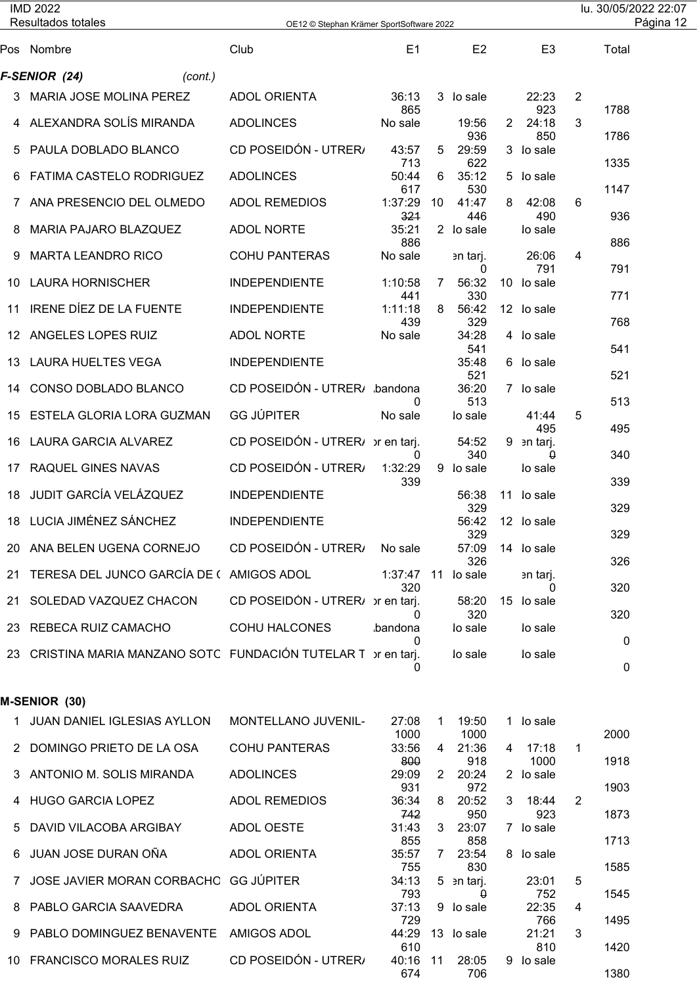|     | <b>IMD 2022</b><br>Resultados totales                       | OE12 © Stephan Krämer SportSoftware 2022 |                |                 |                  |              |                   |                | lu. 30/05/2022 22:07 | Página 12 |
|-----|-------------------------------------------------------------|------------------------------------------|----------------|-----------------|------------------|--------------|-------------------|----------------|----------------------|-----------|
|     | Pos Nombre                                                  | Club                                     | E <sub>1</sub> |                 | E2               |              | E <sub>3</sub>    |                | Total                |           |
|     | F-SENIOR (24)<br>(cont.)                                    |                                          |                |                 |                  |              |                   |                |                      |           |
|     | 3 MARIA JOSE MOLINA PEREZ                                   | <b>ADOL ORIENTA</b>                      | 36:13          |                 | 3 lo sale        |              | 22:23             | 2              |                      |           |
|     | 4 ALEXANDRA SOLÍS MIRANDA                                   | <b>ADOLINCES</b>                         | 865<br>No sale |                 | 19:56            | $\mathbf{2}$ | 923<br>24:18      | 3              | 1788                 |           |
|     | PAULA DOBLADO BLANCO                                        | CD POSEIDÓN - UTRER                      | 43:57          | 5               | 936<br>29:59     |              | 850<br>3 lo sale  |                | 1786                 |           |
|     | FATIMA CASTELO RODRIGUEZ                                    | <b>ADOLINCES</b>                         | 713<br>50:44   | 6               | 622<br>35:12     |              | 5 lo sale         |                | 1335                 |           |
|     | 7 ANA PRESENCIO DEL OLMEDO                                  | <b>ADOL REMEDIOS</b>                     | 617<br>1:37:29 | 10              | 530<br>41:47     | 8            | 42:08             | 6              | 1147                 |           |
| 8   | MARIA PAJARO BLAZQUEZ                                       | <b>ADOL NORTE</b>                        | 321<br>35:21   |                 | 446<br>2 lo sale |              | 490<br>lo sale    |                | 936                  |           |
| 9   | <b>MARTA LEANDRO RICO</b>                                   | <b>COHU PANTERAS</b>                     | 886<br>No sale |                 | en tarj.         |              | 26:06             | 4              | 886                  |           |
| 10. | <b>LAURA HORNISCHER</b>                                     | <b>INDEPENDIENTE</b>                     | 1:10:58        | $\overline{7}$  | 0<br>56:32       |              | 791<br>10 lo sale |                | 791                  |           |
| 11  | IRENE DIEZ DE LA FUENTE                                     | <b>INDEPENDIENTE</b>                     | 441<br>1:11:18 | 8               | 330<br>56:42     |              | 12 lo sale        |                | 771                  |           |
|     | 12 ANGELES LOPES RUIZ                                       | ADOL NORTE                               | 439<br>No sale |                 | 329<br>34:28     |              | 4 lo sale         |                | 768                  |           |
| 13. | LAURA HUELTES VEGA                                          | <b>INDEPENDIENTE</b>                     |                |                 | 541<br>35:48     |              | 6 lo sale         |                | 541                  |           |
| 14  | CONSO DOBLADO BLANCO                                        | CD POSEIDÓN - UTRER, bandona             |                |                 | 521<br>36:20     |              | 7 lo sale         |                | 521                  |           |
| 15  | ESTELA GLORIA LORA GUZMAN                                   | <b>GG JÚPITER</b>                        | 0<br>No sale   |                 | 513<br>lo sale   |              | 41:44             | 5              | 513                  |           |
| 16. | LAURA GARCIA ALVAREZ                                        | CD POSEIDÓN - UTRER, or en tarj.         |                |                 | 54:52            |              | 495<br>9 en tarj. |                | 495                  |           |
|     | 17 RAQUEL GINES NAVAS                                       | CD POSEIDÓN - UTRER                      | 0<br>1:32:29   | 9               | 340<br>lo sale   |              | 0<br>lo sale      |                | 340                  |           |
| 18  | JUDIT GARCÍA VELÁZQUEZ                                      | <b>INDEPENDIENTE</b>                     | 339            |                 | 56:38            |              | 11 lo sale        |                | 339                  |           |
|     | 18 LUCIA JIMÉNEZ SÁNCHEZ                                    | <b>INDEPENDIENTE</b>                     |                |                 | 329<br>56:42     |              | 12 lo sale        |                | 329                  |           |
|     | 20 ANA BELEN UGENA CORNEJO                                  | CD POSEIDÓN - UTRER                      | No sale        |                 | 329<br>57:09     | 14           | lo sale           |                | 329                  |           |
|     | 21 TERESA DEL JUNCO GARCÍA DE (AMIGOS ADOL                  |                                          | 1:37:47        | 11              | 326<br>lo sale   |              | en tarj.          |                | 326                  |           |
| 21  | SOLEDAD VAZQUEZ CHACON                                      | CD POSEIDÓN - UTRER, or en tarj.         | 320            |                 | 58:20            | 15           | 0<br>lo sale      |                | 320                  |           |
| 23  | REBECA RUIZ CAMACHO                                         | <b>COHU HALCONES</b>                     | 0<br>bandona   |                 | 320<br>lo sale   |              | lo sale           |                | 320                  |           |
| 23  | CRISTINA MARIA MANZANO SOTC FUNDACIÓN TUTELAR T or en tarj. |                                          | 0              |                 | lo sale          |              | lo sale           |                | 0                    |           |
|     |                                                             |                                          | 0              |                 |                  |              |                   |                | 0                    |           |
|     | M-SENIOR (30)                                               |                                          |                |                 |                  |              |                   |                |                      |           |
| 1   | <b>JUAN DANIEL IGLESIAS AYLLON</b>                          | <b>MONTELLANO JUVENIL-</b>               | 27:08<br>1000  | 1               | 19:50<br>1000    |              | 1 lo sale         |                | 2000                 |           |
|     | DOMINGO PRIETO DE LA OSA                                    | <b>COHU PANTERAS</b>                     | 33:56<br>800   | 4               | 21:36<br>918     | 4            | 17:18<br>1000     | 1              | 1918                 |           |
| 3   | ANTONIO M. SOLIS MIRANDA                                    | <b>ADOLINCES</b>                         | 29:09<br>931   | 2               | 20:24<br>972     |              | 2 lo sale         |                | 1903                 |           |
| 4   | <b>HUGO GARCIA LOPEZ</b>                                    | <b>ADOL REMEDIOS</b>                     | 36:34<br>742   | 8               | 20:52<br>950     | 3            | 18:44<br>923      | $\overline{2}$ | 1873                 |           |
| 5   | DAVID VILACOBA ARGIBAY                                      | ADOL OESTE                               | 31:43<br>855   | 3               | 23:07<br>858     |              | 7 lo sale         |                | 1713                 |           |
| 6   | JUAN JOSE DURAN OÑA                                         | <b>ADOL ORIENTA</b>                      | 35:57<br>755   | $7^{\circ}$     | 23:54<br>830     |              | 8 lo sale         |                | 1585                 |           |
|     | JOSE JAVIER MORAN CORBACHO GG JÚPITER                       |                                          | 34:13<br>793   |                 | 5 en tarj.<br>0  |              | 23:01<br>752      | 5              | 1545                 |           |
| 8   | PABLO GARCIA SAAVEDRA                                       | <b>ADOL ORIENTA</b>                      | 37:13<br>729   |                 | 9 lo sale        |              | 22:35<br>766      | 4              | 1495                 |           |
| 9   | PABLO DOMINGUEZ BENAVENTE                                   | <b>AMIGOS ADOL</b>                       | 44:29<br>610   | 13 <sup>7</sup> | lo sale          |              | 21:21<br>810      | 3              | 1420                 |           |
| 10  | <b>FRANCISCO MORALES RUIZ</b>                               | CD POSEIDÓN - UTRER                      | 40:16<br>674   | -11             | 28:05<br>706     |              | 9 lo sale         |                | 1380                 |           |
|     |                                                             |                                          |                |                 |                  |              |                   |                |                      |           |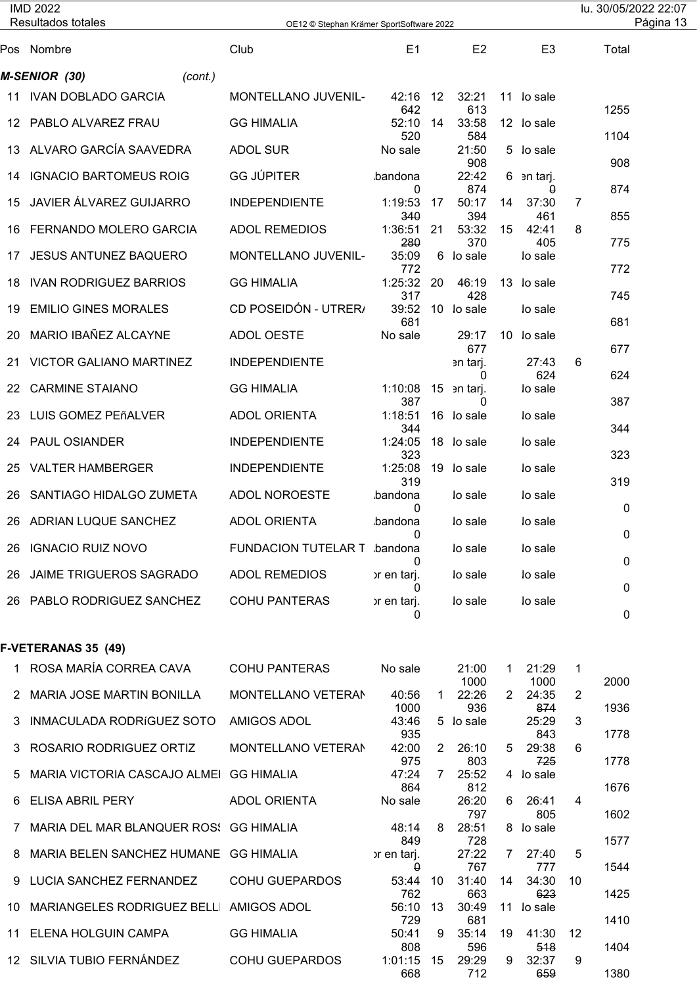|    | <b>IMD 2022</b><br>Resultados totales   | OE12 © Stephan Krämer SportSoftware 2022 |                       |     |                         |                      |                  |                | lu. 30/05/2022 22:07 | Página 13 |
|----|-----------------------------------------|------------------------------------------|-----------------------|-----|-------------------------|----------------------|------------------|----------------|----------------------|-----------|
|    | Pos Nombre                              | Club                                     | E <sub>1</sub>        |     | E2                      |                      | E <sub>3</sub>   |                | Total                |           |
|    | <b>M-SENIOR (30)</b><br>(cont.)         |                                          |                       |     |                         |                      |                  |                |                      |           |
|    | 11 IVAN DOBLADO GARCIA                  | MONTELLANO JUVENIL-                      | 42:16 12              |     | 32:21                   |                      | 11 lo sale       |                |                      |           |
|    | 12 PABLO ALVAREZ FRAU                   | <b>GG HIMALIA</b>                        | 642<br>52:10 14       |     | 613<br>33:58            |                      | 12 lo sale       |                | 1255                 |           |
|    | 13 ALVARO GARCÍA SAAVEDRA               | ADOL SUR                                 | 520<br>No sale        |     | 584<br>21:50            |                      | 5 lo sale        |                | 1104                 |           |
|    | 14 IGNACIO BARTOMEUS ROIG               | <b>GG JÚPITER</b>                        | bandona               |     | 908<br>22:42            |                      | 6 en tarj.       |                | 908                  |           |
|    | 15 JAVIER ÁLVAREZ GUIJARRO              | <b>INDEPENDIENTE</b>                     | 0<br>1:19:53 17       |     | 874<br>50:17            | 14                   | 0<br>37:30       | $\overline{7}$ | 874                  |           |
|    | 16 FERNANDO MOLERO GARCIA               | <b>ADOL REMEDIOS</b>                     | 340<br>1:36:51 21     |     | 394<br>53:32            | 15                   | 461<br>42:41     | 8              | 855                  |           |
|    | 17 JESUS ANTUNEZ BAQUERO                | MONTELLANO JUVENIL-                      | 280<br>35:09          |     | 370<br>6 lo sale        |                      | 405<br>lo sale   |                | 775                  |           |
|    | 18 IVAN RODRIGUEZ BARRIOS               | <b>GG HIMALIA</b>                        | 772<br>1:25:32 20     |     | 46:19                   |                      | 13 lo sale       |                | 772                  |           |
| 19 | <b>EMILIO GINES MORALES</b>             | CD POSEIDÓN - UTRER                      | 317                   |     | 428<br>39:52 10 lo sale |                      | lo sale          |                | 745                  |           |
| 20 | MARIO IBAÑEZ ALCAYNE                    | <b>ADOL OESTE</b>                        | 681<br>No sale        |     | 29:17                   | 10                   | lo sale          |                | 681                  |           |
| 21 | <b>VICTOR GALIANO MARTINEZ</b>          | <b>INDEPENDIENTE</b>                     |                       |     | 677<br>en tarj.         |                      | 27:43            | 6              | 677                  |           |
|    | 22 CARMINE STAIANO                      | <b>GG HIMALIA</b>                        | 1:10:08               | 15  | 0<br>en tarj.           |                      | 624<br>lo sale   |                | 624                  |           |
|    | 23 LUIS GOMEZ PEñALVER                  | <b>ADOL ORIENTA</b>                      | 387<br>1:18:51        |     | 0<br>16 lo sale         |                      | lo sale          |                | 387                  |           |
|    | 24 PAUL OSIANDER                        | <b>INDEPENDIENTE</b>                     | 344<br>1:24:05        |     | 18 lo sale              |                      | lo sale          |                | 344                  |           |
|    | 25 VALTER HAMBERGER                     | <b>INDEPENDIENTE</b>                     | 323<br>1:25:08        |     | 19 lo sale              |                      | lo sale          |                | 323                  |           |
|    | 26 SANTIAGO HIDALGO ZUMETA              | ADOL NOROESTE                            | 319<br>bandona        |     | lo sale                 |                      | lo sale          |                | 319                  |           |
|    | 26 ADRIAN LUQUE SANCHEZ                 | <b>ADOL ORIENTA</b>                      | 0<br>bandona          |     | lo sale                 |                      | lo sale          |                | 0                    |           |
| 26 | <b>IGNACIO RUIZ NOVO</b>                | <b>FUNDACION TUTELAR T</b>               | 0<br>bandona          |     | lo sale                 |                      | lo sale          |                | 0                    |           |
| 26 | JAIME TRIGUEROS SAGRADO                 | <b>ADOL REMEDIOS</b>                     | 0<br>or en tarj.      |     | lo sale                 |                      | lo sale          |                | 0                    |           |
|    | 26 PABLO RODRIGUEZ SANCHEZ              | <b>COHU PANTERAS</b>                     | 0<br>or en tari.<br>0 |     | lo sale                 |                      | lo sale          |                | 0<br>0               |           |
|    | F-VETERANAS 35 (49)                     |                                          |                       |     |                         |                      |                  |                |                      |           |
| 1  | ROSA MARÍA CORREA CAVA                  | <b>COHU PANTERAS</b>                     | No sale               |     | 21:00                   | $\mathbf{1}$         | 21:29            | 1              |                      |           |
|    | MARIA JOSE MARTIN BONILLA               | MONTELLANO VETERAN                       | 40:56                 | 1.  | 1000<br>22:26           | $\mathbf{2}^{\circ}$ | 1000<br>24:35    | $\overline{2}$ | 2000                 |           |
| 3  | INMACULADA RODRÍGUEZ SOTO               | AMIGOS ADOL                              | 1000<br>43:46         |     | 936<br>5 lo sale        |                      | 874<br>25:29     | 3              | 1936                 |           |
|    | ROSARIO RODRIGUEZ ORTIZ                 | MONTELLANO VETERAN                       | 935<br>42:00          | 2   | 26:10                   | 5                    | 843<br>29:38     | 6              | 1778                 |           |
| 5  | MARIA VICTORIA CASCAJO ALMEI GG HIMALIA |                                          | 975<br>47:24          | 7   | 803<br>25:52            |                      | 725<br>4 lo sale |                | 1778                 |           |
| 6  | <b>ELISA ABRIL PERY</b>                 | <b>ADOL ORIENTA</b>                      | 864<br>No sale        |     | 812<br>26:20            | 6                    | 26:41            | 4              | 1676                 |           |
| 7  | MARIA DEL MAR BLANQUER ROS! GG HIMALIA  |                                          | 48:14                 | 8   | 797<br>28:51            |                      | 805<br>8 lo sale |                | 1602                 |           |
| 8  | MARIA BELEN SANCHEZ HUMANE GG HIMALIA   |                                          | 849<br>or en tarj.    |     | 728<br>27:22            | $7^{\circ}$          | 27:40            | 5              | 1577                 |           |
| 9  | LUCIA SANCHEZ FERNANDEZ                 | <b>COHU GUEPARDOS</b>                    | 0<br>53:44            | 10  | 767<br>31:40            | 14                   | 777<br>34:30     | 10             | 1544                 |           |
| 10 | MARIANGELES RODRIGUEZ BELLI AMIGOS ADOL |                                          | 762<br>56:10<br>729   | 13  | 663<br>30:49<br>681     | 11                   | 623<br>lo sale   |                | 1425<br>1410         |           |
| 11 | ELENA HOLGUIN CAMPA                     | <b>GG HIMALIA</b>                        | 50:41<br>808          | 9   | 35:14<br>596            | 19                   | 41:30<br>518     | 12             | 1404                 |           |
|    | 12 SILVIA TUBIO FERNÁNDEZ               | <b>COHU GUEPARDOS</b>                    | 1:01:15<br>668        | -15 | 29:29<br>712            | 9                    | 32:37<br>659     | 9              | 1380                 |           |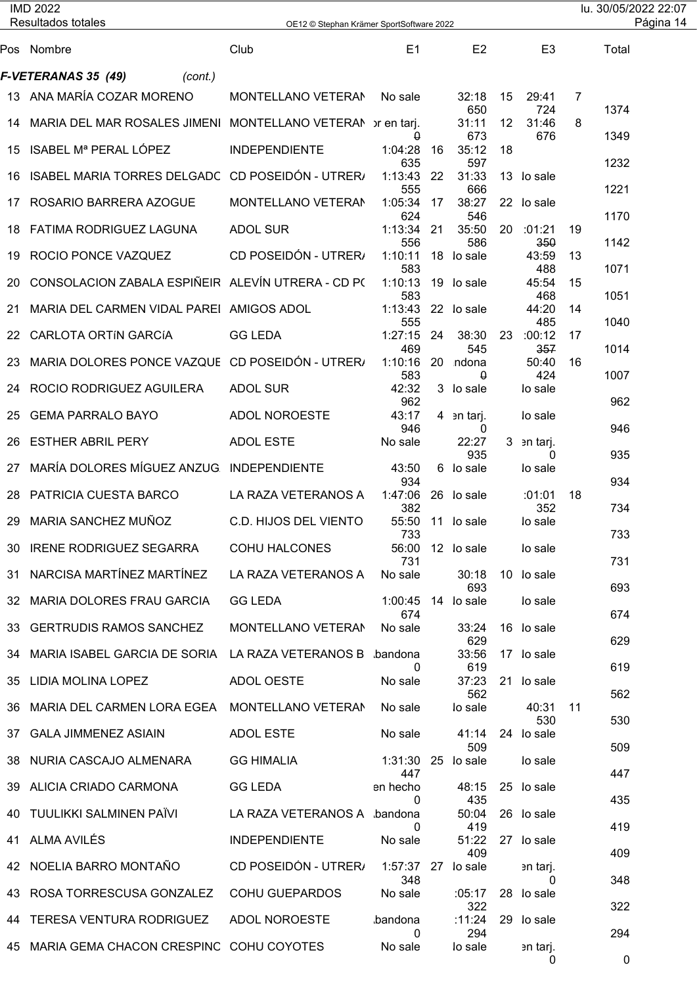|     | <b>IMD 2022</b><br>Resultados totales                          | OE12 © Stephan Krämer SportSoftware 2022 |                           |    |                   |                   |                 |    | lu. 30/05/2022 22:07<br>Página 14 |
|-----|----------------------------------------------------------------|------------------------------------------|---------------------------|----|-------------------|-------------------|-----------------|----|-----------------------------------|
|     | Pos Nombre                                                     | Club                                     | E <sub>1</sub>            |    | E <sub>2</sub>    |                   | E <sub>3</sub>  |    | Total                             |
|     | F-VETERANAS 35 (49)<br>(cont.)                                 |                                          |                           |    |                   |                   |                 |    |                                   |
|     | 13 ANA MARÍA COZAR MORENO                                      | MONTELLANO VETERAN                       | No sale                   |    | 32:18<br>650      | 15                | 29:41<br>724    | 7  | 1374                              |
|     | 14 MARIA DEL MAR ROSALES JIMENI MONTELLANO VETERAN or en tarj. |                                          |                           |    | 31:11             | 12                | 31:46<br>676    | 8  |                                   |
| 15  | ISABEL Mª PERAL LÓPEZ                                          | <b>INDEPENDIENTE</b>                     | 0<br>1:04:28              | 16 | 673<br>35:12      | 18                |                 |    | 1349                              |
| 16. | ISABEL MARIA TORRES DELGADC CD POSEIDÓN - UTRER                |                                          | 635<br>1:13:43            | 22 | 597<br>31:33      |                   | 13 lo sale      |    | 1232                              |
| 17  | ROSARIO BARRERA AZOGUE                                         | MONTELLANO VETERAN                       | 555<br>1:05:34            | 17 | 666<br>38:27      | $22 \overline{ }$ | lo sale         |    | 1221                              |
| 18  | FATIMA RODRIGUEZ LAGUNA                                        | ADOL SUR                                 | 624<br>1:13:34            | 21 | 546<br>35:50      | 20                | :01:21          | 19 | 1170                              |
| 19  | ROCIO PONCE VAZQUEZ                                            | CD POSEIDÓN - UTRER                      | 556<br>1:10:11            |    | 586<br>18 lo sale |                   | 350<br>43:59    | 13 | 1142                              |
| 20  | CONSOLACION ZABALA ESPIÑEIR ALEVÍN UTRERA - CD P(              |                                          | 583<br>1:10:13            |    | 19 lo sale        |                   | 488<br>45:54    | 15 | 1071                              |
| 21  | MARIA DEL CARMEN VIDAL PAREI AMIGOS ADOL                       |                                          | 583<br>1:13:43            |    | 22 lo sale        |                   | 468<br>44:20    | 14 | 1051                              |
| 22  | CARLOTA ORTIN GARCIA                                           | <b>GG LEDA</b>                           | 555<br>1:27:15<br>469     | 24 | 38:30             | -23               | 485<br>:00:12   | 17 | 1040                              |
| 23  | MARIA DOLORES PONCE VAZQUE CD POSEIDÓN - UTRER/                |                                          | 1:10:16                   | 20 | 545<br>ndona      |                   | 357<br>50:40    | 16 | 1014                              |
| 24  | ROCIO RODRIGUEZ AGUILERA                                       | <b>ADOL SUR</b>                          | 583<br>42:32<br>962       |    | 0<br>3 lo sale    |                   | 424<br>lo sale  |    | 1007<br>962                       |
| 25  | <b>GEMA PARRALO BAYO</b>                                       | <b>ADOL NOROESTE</b>                     | 43:17<br>946              |    | 4 en tarj.        |                   | lo sale         |    | 946                               |
| 26  | <b>ESTHER ABRIL PERY</b>                                       | <b>ADOL ESTE</b>                         | No sale                   |    | 0<br>22:27<br>935 |                   | 3 en tarj.<br>0 |    | 935                               |
| 27  | MARÍA DOLORES MÍGUEZ ANZUG INDEPENDIENTE                       |                                          | 43:50<br>934              |    | 6 lo sale         |                   | lo sale         |    | 934                               |
| 28  | PATRICIA CUESTA BARCO                                          | LA RAZA VETERANOS A                      | 1:47:06<br>382            |    | 26 lo sale        |                   | :01:01<br>352   | 18 | 734                               |
|     | 29 MARIA SANCHEZ MUÑOZ                                         | C.D. HIJOS DEL VIENTO                    | 55:50<br>733              |    | 11 lo sale        |                   | lo sale         |    | 733                               |
|     | 30 IRENE RODRIGUEZ SEGARRA                                     | <b>COHU HALCONES</b>                     | 56:00<br>731              |    | 12 lo sale        |                   | lo sale         |    | 731                               |
|     | 31 NARCISA MARTÍNEZ MARTÍNEZ                                   | LA RAZA VETERANOS A                      | No sale                   |    | 30:18<br>693      | 10                | lo sale         |    | 693                               |
| 32  | <b>MARIA DOLORES FRAU GARCIA</b>                               | <b>GG LEDA</b>                           | 1:00:45 14 lo sale<br>674 |    |                   |                   | lo sale         |    | 674                               |
| 33  | <b>GERTRUDIS RAMOS SANCHEZ</b>                                 | MONTELLANO VETERAN                       | No sale                   |    | 33:24<br>629      |                   | 16 lo sale      |    | 629                               |
| 34  | MARIA ISABEL GARCIA DE SORIA LA RAZA VETERANOS B               |                                          | bandona<br>0              |    | 33:56<br>619      |                   | 17 lo sale      |    | 619                               |
|     | 35 LIDIA MOLINA LOPEZ                                          | ADOL OESTE                               | No sale                   |    | 37:23<br>562      | 21                | lo sale         |    | 562                               |
| 36. | MARIA DEL CARMEN LORA EGEA                                     | MONTELLANO VETERAN                       | No sale                   |    | lo sale           |                   | 40:31<br>530    | 11 | 530                               |
| 37  | <b>GALA JIMMENEZ ASIAIN</b>                                    | <b>ADOL ESTE</b>                         | No sale                   |    | 41:14<br>509      | 24                | lo sale         |    | 509                               |
|     | 38 NURIA CASCAJO ALMENARA                                      | <b>GG HIMALIA</b>                        | 1:31:30<br>447            | 25 | lo sale           |                   | lo sale         |    | 447                               |
|     | 39 ALICIA CRIADO CARMONA                                       | <b>GG LEDA</b>                           | en hecho<br>0             |    | 48:15<br>435      | 25                | lo sale         |    | 435                               |
|     | 40 TUULIKKI SALMINEN PAÏVI                                     | LA RAZA VETERANOS A                      | bandona<br>0              |    | 50:04<br>419      |                   | 26 lo sale      |    | 419                               |
| 41  | ALMA AVILÉS                                                    | <b>INDEPENDIENTE</b>                     | No sale                   |    | 51:22<br>409      | 27                | lo sale         |    | 409                               |
|     | 42 NOELIA BARRO MONTAÑO                                        | CD POSEIDÓN - UTRER                      | 1:57:37<br>348            | 27 | lo sale           |                   | en tarj.<br>0   |    | 348                               |
|     | 43 ROSA TORRESCUSA GONZALEZ                                    | <b>COHU GUEPARDOS</b>                    | No sale                   |    | :05:17<br>322     | 28                | lo sale         |    | 322                               |
| 44  | <b>TERESA VENTURA RODRIGUEZ</b>                                | ADOL NOROESTE                            | bandona<br>0              |    | :11:24<br>294     | -29               | lo sale         |    | 294                               |
| 45  | MARIA GEMA CHACON CRESPINC COHU COYOTES                        |                                          | No sale                   |    | lo sale           |                   | en tarj.<br>0   |    | 0                                 |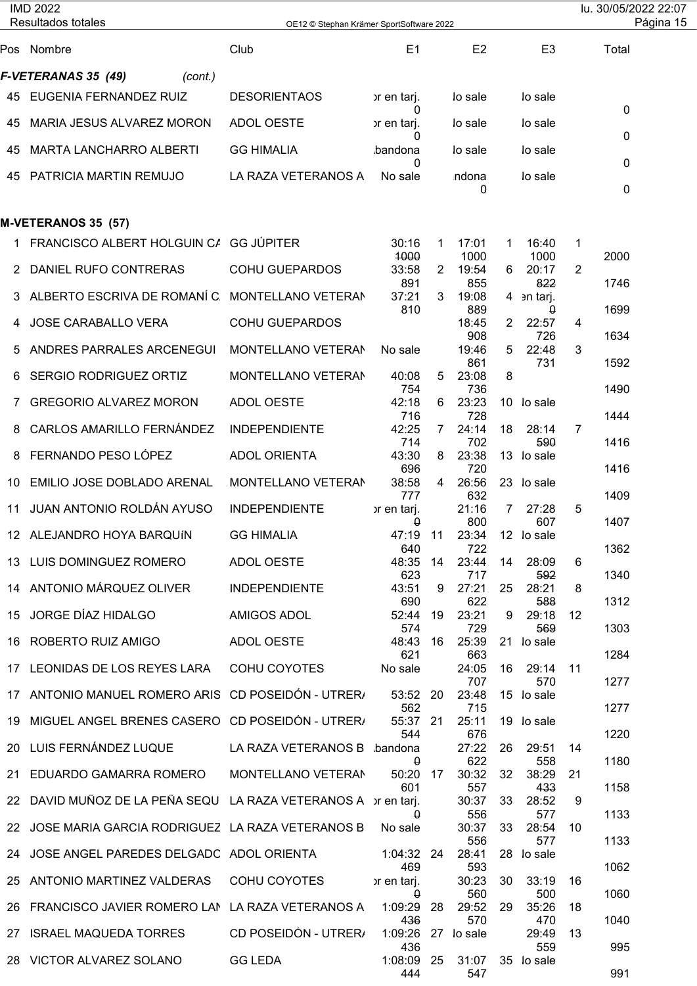|     | <b>IMD 2022</b><br>Resultados totales                          | OE12 © Stephan Krämer SportSoftware 2022 |                           |                |                     |                      |                   |                | lu. 30/05/2022 22:07 | Página 15 |
|-----|----------------------------------------------------------------|------------------------------------------|---------------------------|----------------|---------------------|----------------------|-------------------|----------------|----------------------|-----------|
| Pos | Nombre                                                         | Club                                     | E1                        |                | E <sub>2</sub>      |                      | E <sub>3</sub>    |                | Total                |           |
|     | F-VETERANAS 35 (49)<br>(cont.)                                 |                                          |                           |                |                     |                      |                   |                |                      |           |
|     | 45 EUGENIA FERNANDEZ RUIZ                                      | <b>DESORIENTAOS</b>                      | or en tarj.<br>$^{(1)}$   |                | lo sale             |                      | lo sale           |                | 0                    |           |
| 45  | MARIA JESUS ALVAREZ MORON                                      | ADOL OESTE                               | or en tarj.               |                | lo sale             |                      | lo sale           |                |                      |           |
| 45  | <b>MARTA LANCHARRO ALBERTI</b>                                 | <b>GG HIMALIA</b>                        | 0<br>bandona<br>0         |                | lo sale             |                      | lo sale           |                | 0                    |           |
| 45  | PATRICIA MARTIN REMUJO                                         | LA RAZA VETERANOS A                      | No sale                   |                | ndona<br>0          |                      | lo sale           |                | 0<br>0               |           |
|     | M-VETERANOS 35 (57)                                            |                                          |                           |                |                     |                      |                   |                |                      |           |
| 1   | FRANCISCO ALBERT HOLGUIN CA GG JÚPITER                         |                                          | 30:16                     | 1              | 17:01               | 1                    | 16:40             | 1              |                      |           |
| 2   | DANIEL RUFO CONTRERAS                                          | <b>COHU GUEPARDOS</b>                    | 4000<br>33:58             | $\overline{2}$ | 1000<br>19:54       | 6                    | 1000<br>20:17     | $\overline{2}$ | 2000                 |           |
| 3   | ALBERTO ESCRIVA DE ROMANÍ C                                    | MONTELLANO VETERAN                       | 891<br>37:21              | 3              | 855<br>19:08        |                      | 822<br>4 en tarj. |                | 1746                 |           |
|     | <b>JOSE CARABALLO VERA</b>                                     | <b>COHU GUEPARDOS</b>                    | 810                       |                | 889<br>18:45        | $\mathbf{2}^{\circ}$ | 0<br>22:57        | 4              | 1699                 |           |
| 5   | ANDRES PARRALES ARCENEGUI                                      | MONTELLANO VETERAN                       | No sale                   |                | 908<br>19:46        | 5                    | 726<br>22:48      | 3              | 1634                 |           |
| 6   | SERGIO RODRIGUEZ ORTIZ                                         | MONTELLANO VETERAN                       | 40:08                     | 5              | 861<br>23:08        | 8                    | 731               |                | 1592                 |           |
|     | <b>GREGORIO ALVAREZ MORON</b>                                  | ADOL OESTE                               | 754<br>42:18              | 6              | 736<br>23:23        |                      | 10 lo sale        |                | 1490                 |           |
|     | <b>CARLOS AMARILLO FERNÁNDEZ</b>                               | <b>INDEPENDIENTE</b>                     | 716<br>42:25              | 7              | 728<br>24:14<br>702 | 18                   | 28:14             | $\overline{7}$ | 1444                 |           |
| 8   | FERNANDO PESO LÓPEZ                                            | <b>ADOL ORIENTA</b>                      | 714<br>43:30<br>696       | 8              | 23:38<br>720        |                      | 590<br>13 lo sale |                | 1416                 |           |
| 10  | EMILIO JOSE DOBLADO ARENAL                                     | MONTELLANO VETERAN                       | 38:58                     | 4              | 26:56               |                      | 23 lo sale        |                | 1416                 |           |
| 11  | JUAN ANTONIO ROLDÁN AYUSO                                      | <b>INDEPENDIENTE</b>                     | 777<br>or en tarj.        |                | 632<br>21:16        | $7^{\circ}$          | 27:28             | 5              | 1409                 |           |
|     | 12 ALEJANDRO HOYA BARQUÍN                                      | <b>GG HIMALIA</b>                        | θ<br>47:19<br>640         | 11             | 800<br>23:34        |                      | 607<br>12 lo sale |                | 1407                 |           |
|     | 13 LUIS DOMINGUEZ ROMERO                                       | ADOL OESTE                               | 48:35                     | 14             | 722<br>23:44        | 14                   | 28:09             | 6              | 1362                 |           |
|     | 14 ANTONIO MÁRQUEZ OLIVER                                      | <b>INDEPENDIENTE</b>                     | 623<br>43:51              | 9              | 717<br>27:21<br>622 | 25                   | 592<br>28:21      | 8              | 1340                 |           |
|     | 15 JORGE DÍAZ HIDALGO                                          | <b>AMIGOS ADOL</b>                       | 690<br>52:44 19           |                | 23:21               | 9                    | 588<br>29:18      | 12             | 1312                 |           |
|     | 16 ROBERTO RUIZ AMIGO                                          | ADOL OESTE                               | 574<br>48:43 16<br>621    |                | 729<br>25:39<br>663 |                      | 569<br>21 lo sale |                | 1303<br>1284         |           |
|     | 17 LEONIDAS DE LOS REYES LARA COHU COYOTES                     |                                          | No sale                   |                | 24:05<br>707        | 16                   | 29:14<br>570      | $-11$          | 1277                 |           |
|     | 17 ANTONIO MANUEL ROMERO ARIS CD POSEIDÓN - UTRER/             |                                          | 53:52 20<br>562           |                | 23:48<br>715        |                      | 15 lo sale        |                | 1277                 |           |
| 19  | MIGUEL ANGEL BRENES CASERO CD POSEIDÓN - UTRER                 |                                          | 55:37 21<br>544           |                | 25:11<br>676        |                      | 19 lo sale        |                | 1220                 |           |
|     | 20 LUIS FERNÁNDEZ LUQUE LA RAZA VETERANOS B bandona            |                                          | 0                         |                | 27:22<br>622        | 26                   | 29:51<br>558      | - 14           | 1180                 |           |
|     | 21 EDUARDO GAMARRA ROMERO                                      | MONTELLANO VETERAN                       | 50:20 17<br>601           |                | 30:32<br>557        | 32                   | 38:29<br>433      | 21             | 1158                 |           |
|     | 22 DAVID MUÑOZ DE LA PEÑA SEQU LA RAZA VETERANOS A or en tarj. |                                          | $\Omega$                  |                | 30:37<br>556        | 33                   | 28:52<br>577      | 9              | 1133                 |           |
|     | 22 JOSE MARIA GARCIA RODRIGUEZ LA RAZA VETERANOS B             |                                          | No sale                   |                | 30:37<br>556        | 33                   | 28:54<br>577      | 10             | 1133                 |           |
|     | 24 JOSE ANGEL PAREDES DELGADC ADOL ORIENTA                     |                                          | $1:04:32$ 24<br>469       |                | 28:41<br>593        |                      | 28 lo sale        |                | 1062                 |           |
|     | 25 ANTONIO MARTINEZ VALDERAS                                   | COHU COYOTES                             | or en tarj.<br>0          |                | 30:23<br>560        | 30                   | 33:19<br>500      | 16             | 1060                 |           |
|     | 26 FRANCISCO JAVIER ROMERO LAN LA RAZA VETERANOS A             |                                          | 1:09:29 28<br>436         |                | 29:52<br>570        | 29                   | 35:26<br>470      | 18             | 1040                 |           |
|     | 27 ISRAEL MAQUEDA TORRES CD POSEIDÓN - UTRER/                  |                                          | 1:09:26 27 lo sale<br>436 |                |                     |                      | 29:49<br>559      | 13             | 995                  |           |
|     | 28 VICTOR ALVAREZ SOLANO                                       | <b>GG LEDA</b>                           | 1:08:09 25<br>444         |                | 31:07<br>547        |                      | 35 lo sale        |                | 991                  |           |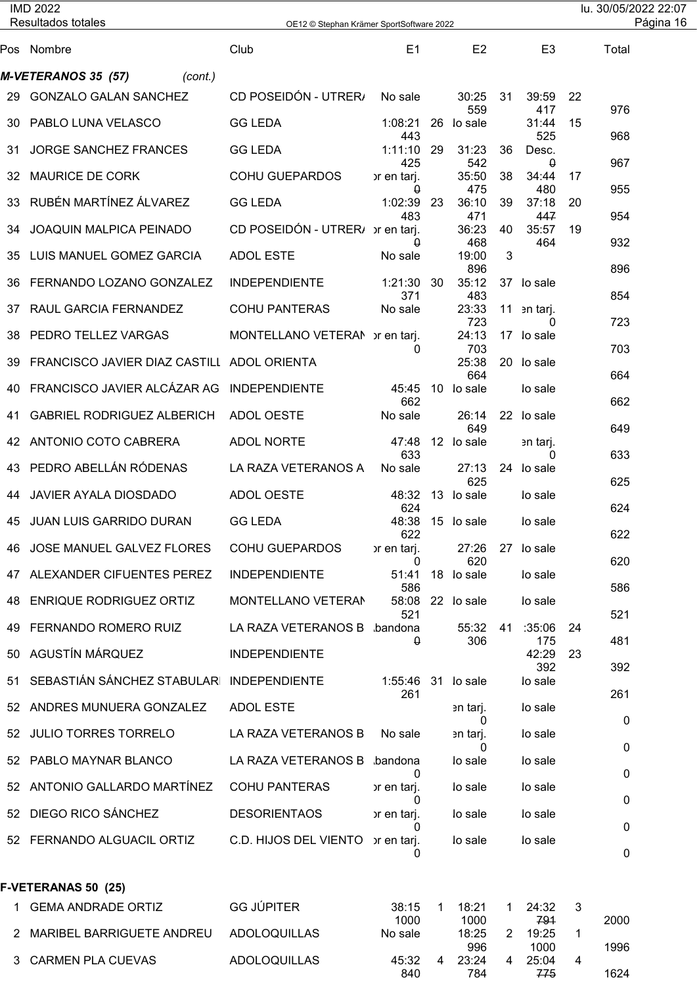|     | <b>IMD 2022</b><br>Resultados totales            | OE12 © Stephan Krämer SportSoftware 2022 |                         |    |                      |                |                                   |              | lu. 30/05/2022 22:07 | Página 16 |
|-----|--------------------------------------------------|------------------------------------------|-------------------------|----|----------------------|----------------|-----------------------------------|--------------|----------------------|-----------|
|     | Pos Nombre                                       | Club                                     | E <sub>1</sub>          |    | E2                   |                | E <sub>3</sub>                    |              | Total                |           |
|     | M-VETERANOS 35 (57)<br>(cont.)                   |                                          |                         |    |                      |                |                                   |              |                      |           |
|     | 29 GONZALO GALAN SANCHEZ                         | CD POSEIDÓN - UTRER, No sale             |                         |    | 30:25<br>559         | 31             | 39:59<br>417                      | 22           | 976                  |           |
|     | 30 PABLO LUNA VELASCO                            | <b>GG LEDA</b>                           | $1:08:21$ 26<br>443     |    | lo sale              |                | 31:44<br>525                      | 15           | 968                  |           |
| 31. | JORGE SANCHEZ FRANCES                            | <b>GG LEDA</b>                           | 1:11:10 29<br>425       |    | 31:23<br>542         | 36             | Desc.<br>0                        |              | 967                  |           |
|     | 32 MAURICE DE CORK                               | <b>COHU GUEPARDOS</b>                    | or en tarj.<br>$\theta$ |    | 35:50<br>475         | 38             | 34:44<br>480                      | 17           | 955                  |           |
|     | 33 RUBÉN MARTÍNEZ ÁLVAREZ                        | <b>GG LEDA</b>                           | 1:02:39 23<br>483       |    | 36:10<br>471         | 39             | 37:18<br>447                      | 20           | 954                  |           |
|     | 34 JOAQUIN MALPICA PEINADO                       | CD POSEIDÓN - UTRER, or en tarj.         | 0                       |    | 36:23<br>468         | 40             | 35:57<br>464                      | 19           | 932                  |           |
|     | 35 LUIS MANUEL GOMEZ GARCIA                      | <b>ADOL ESTE</b>                         | No sale                 |    | 19:00<br>896         | 3              |                                   |              | 896                  |           |
|     | 36 FERNANDO LOZANO GONZALEZ                      | <b>INDEPENDIENTE</b>                     | 1:21:30 30<br>371       |    | 35:12<br>483         |                | 37 lo sale                        |              | 854                  |           |
|     | 37 RAUL GARCIA FERNANDEZ                         | <b>COHU PANTERAS</b>                     | No sale                 |    | 23:33<br>723         |                | 11 $\cdot$ n tarj.<br>$\mathbf 0$ |              | 723                  |           |
|     | 38 PEDRO TELLEZ VARGAS                           | MONTELLANO VETERAN or en tarj.           | 0                       |    | 24:13<br>703         |                | 17 lo sale                        |              | 703                  |           |
|     | 39 FRANCISCO JAVIER DIAZ CASTILL ADOL ORIENTA    |                                          |                         |    | 25:38<br>664         |                | 20 lo sale                        |              | 664                  |           |
|     | 40 FRANCISCO JAVIER ALCÁZAR AG INDEPENDIENTE     |                                          | 45:45 10<br>662         |    | lo sale              |                | lo sale                           |              | 662                  |           |
| 41  | GABRIEL RODRIGUEZ ALBERICH ADOL OESTE            |                                          | No sale                 |    | 26:14<br>649         |                | 22 lo sale                        |              | 649                  |           |
|     | 42 ANTONIO COTO CABRERA                          | ADOL NORTE                               | 633                     |    | 47:48 12 lo sale     |                | en tarj.<br>0                     |              | 633                  |           |
|     | 43 PEDRO ABELLÁN RÓDENAS                         | LA RAZA VETERANOS A                      | No sale                 |    | 27:13<br>625         |                | 24 lo sale                        |              | 625                  |           |
|     | 44 JAVIER AYALA DIOSDADO                         | ADOL OESTE                               | 624                     |    | 48:32 13 lo sale     |                | lo sale                           |              | 624                  |           |
|     | 45 JUAN LUIS GARRIDO DURAN                       | <b>GG LEDA</b>                           | 622                     |    | 48:38 15 lo sale     |                | lo sale                           |              | 622                  |           |
|     | 46 JOSE MANUEL GALVEZ FLORES                     | <b>COHU GUEPARDOS</b>                    | or en tarj.<br>0        |    | 27:26<br>620         | 27             | lo sale                           |              | 620                  |           |
|     | 47 ALEXANDER CIFUENTES PEREZ                     | <b>INDEPENDIENTE</b>                     | 51:41<br>586            | 18 | lo sale              |                | lo sale                           |              | 586                  |           |
|     | 48 ENRIQUE RODRIGUEZ ORTIZ                       | MONTELLANO VETERAN                       | 58:08<br>521            | 22 | lo sale              |                | lo sale                           |              | 521                  |           |
|     | 49 FERNANDO ROMERO RUIZ                          | LA RAZA VETERANOS B                      | bandona<br>0            |    | 55:32<br>306         | 41             | :35:06<br>175                     | 24           | 481                  |           |
| 50  | AGUSTÍN MÁRQUEZ                                  | <b>INDEPENDIENTE</b>                     |                         |    |                      |                | 42:29<br>392                      | 23           | 392                  |           |
| 51  | SEBASTIÁN SÁNCHEZ STABULAR INDEPENDIENTE         |                                          | 1:55:46 31<br>261       |    | lo sale              |                | lo sale                           |              | 261                  |           |
|     | 52 ANDRES MUNUERA GONZALEZ                       | <b>ADOL ESTE</b>                         |                         |    | en tarj.<br>$\Omega$ |                | lo sale                           |              | 0                    |           |
| 52  | <b>JULIO TORRES TORRELO</b>                      | LA RAZA VETERANOS B                      | No sale                 |    | en tarj.<br>0        |                | lo sale                           |              | 0                    |           |
| 52  | PABLO MAYNAR BLANCO                              | LA RAZA VETERANOS B                      | bandona<br>$\Omega$     |    | lo sale              |                | lo sale                           |              | 0                    |           |
|     | 52 ANTONIO GALLARDO MARTÍNEZ                     | <b>COHU PANTERAS</b>                     | or en tarj.<br>0        |    | lo sale              |                | lo sale                           |              | 0                    |           |
|     | 52 DIEGO RICO SÁNCHEZ                            | <b>DESORIENTAOS</b>                      | or en tarj.<br>0        |    | lo sale              |                | lo sale                           |              | 0                    |           |
|     | 52 FERNANDO ALGUACIL ORTIZ                       | C.D. HIJOS DEL VIENTO                    | or en tari.<br>0        |    | lo sale              |                | lo sale                           |              | 0                    |           |
|     |                                                  |                                          |                         |    |                      |                |                                   |              |                      |           |
| 1   | F-VETERANAS 50 (25)<br><b>GEMA ANDRADE ORTIZ</b> | <b>GG JÚPITER</b>                        | 38:15                   | 1  | 18:21                | 1              | 24:32                             | 3            |                      |           |
|     | MARIBEL BARRIGUETE ANDREU                        | <b>ADOLOQUILLAS</b>                      | 1000<br>No sale         |    | 1000<br>18:25        | $\overline{2}$ | 791<br>19:25                      | $\mathbf{1}$ | 2000                 |           |
|     | <b>CARMEN PLA CUEVAS</b>                         | <b>ADOLOQUILLAS</b>                      | 45:32                   |    | 996<br>23:24         | $\overline{4}$ | 1000<br>25:04                     |              | 1996                 |           |
| 3   |                                                  |                                          | 840                     | 4  | 784                  |                | 775                               | 4            | 1624                 |           |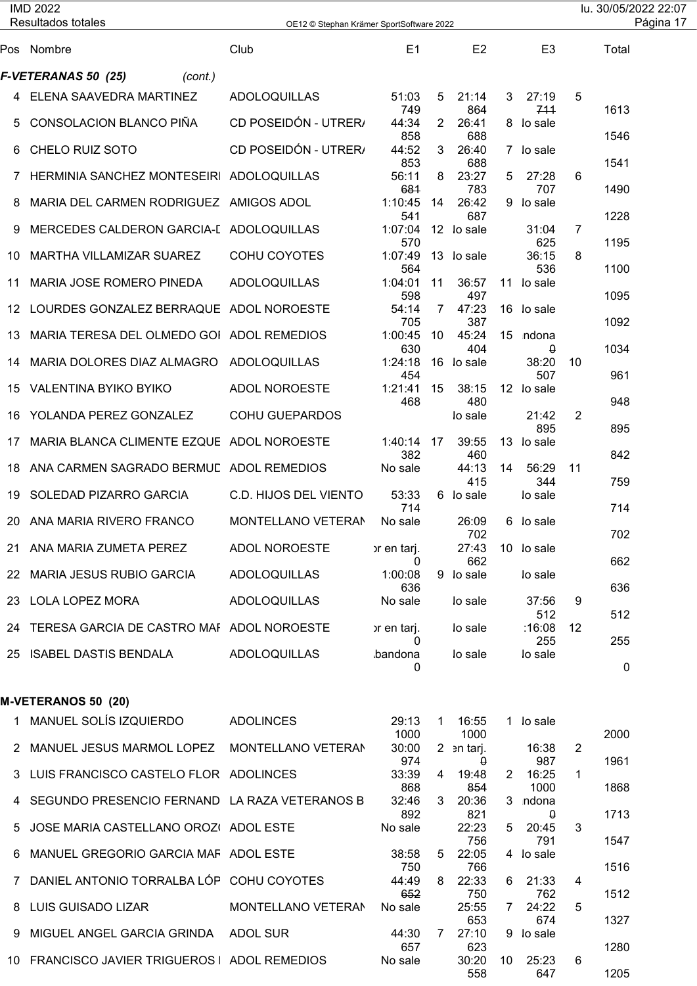|     | <b>IMD 2022</b><br>Resultados totales                 | OE12 © Stephan Krämer SportSoftware 2022 |                           |                |                                |             |                     |                   | lu. 30/05/2022 22:07 | Página 17 |
|-----|-------------------------------------------------------|------------------------------------------|---------------------------|----------------|--------------------------------|-------------|---------------------|-------------------|----------------------|-----------|
|     | Pos Nombre                                            | Club                                     | E1                        |                | E2                             |             | E <sub>3</sub>      |                   | Total                |           |
|     | F-VETERANAS 50 (25)<br>(cont.)                        |                                          |                           |                |                                |             |                     |                   |                      |           |
|     | 4 ELENA SAAVEDRA MARTINEZ                             | <b>ADOLOQUILLAS</b>                      | 51:03                     | 5              | 21:14                          |             | $3$ 27:19           | 5                 |                      |           |
|     | CONSOLACION BLANCO PIÑA                               | CD POSEIDÓN - UTRER <sub>/</sub>         | 749<br>44:34              | 2 <sup>2</sup> | 864<br>26:41                   |             | 711<br>8 lo sale    |                   | 1613                 |           |
|     | CHELO RUIZ SOTO                                       | CD POSEIDÓN - UTRER                      | 858<br>44:52              | 3              | 688<br>26:40                   |             | 7 lo sale           |                   | 1546                 |           |
|     | 7 HERMINIA SANCHEZ MONTESEIRI ADOLOQUILLAS            |                                          | 853<br>56:11              | 8              | 688<br>23:27                   | 5           | 27:28               | 6                 | 1541                 |           |
| 8   | MARIA DEL CARMEN RODRIGUEZ AMIGOS ADOL                |                                          | 681<br>1:10:45 14<br>541  |                | 783<br>26:42<br>687            |             | 707<br>9 lo sale    |                   | 1490                 |           |
| 9   | MERCEDES CALDERON GARCIA-L ADOLOQUILLAS               |                                          | 1:07:04 12 lo sale<br>570 |                |                                |             | 31:04<br>625        | $\overline{7}$    | 1228<br>1195         |           |
| 10. | MARTHA VILLAMIZAR SUAREZ                              | COHU COYOTES                             | 1:07:49  13  lo sale      |                |                                |             | 36:15               | 8                 | 1100                 |           |
| 11  | MARIA JOSE ROMERO PINEDA                              | ADOLOQUILLAS                             | 564<br>1:04:01<br>598     | 11             | 36:57<br>497                   |             | 536<br>11 lo sale   |                   | 1095                 |           |
|     | 12 LOURDES GONZALEZ BERRAQUE ADOL NOROESTE            |                                          | 54:14<br>705              |                | 7 47:23<br>387                 |             | 16 lo sale          |                   | 1092                 |           |
| 13  | MARIA TERESA DEL OLMEDO GOI ADOL REMEDIOS             |                                          | 1:00:45 10<br>630         |                | 45:24<br>404                   |             | 15 ndona<br>0       |                   | 1034                 |           |
|     | 14 MARIA DOLORES DIAZ ALMAGRO ADOLOQUILLAS            |                                          | 1:24:18 16 lo sale<br>454 |                |                                |             | 38:20<br>507        | 10                | 961                  |           |
|     | 15 VALENTINA BYIKO BYIKO                              | ADOL NOROESTE                            | 1:21:41 15<br>468         |                | 38:15<br>480                   |             | 12 lo sale          |                   | 948                  |           |
|     | 16 YOLANDA PEREZ GONZALEZ                             | <b>COHU GUEPARDOS</b>                    |                           |                | lo sale                        |             | 21:42<br>895        | $\overline{2}$    | 895                  |           |
|     | 17 MARIA BLANCA CLIMENTE EZQUE ADOL NOROESTE          |                                          | 1:40:14 17<br>382         |                | 39:55<br>460                   |             | 13 lo sale          |                   | 842                  |           |
|     | 18 ANA CARMEN SAGRADO BERMUL ADOL REMEDIOS            |                                          | No sale                   |                | 44:13<br>415                   | 14          | 56:29<br>344        | 11                | 759                  |           |
|     | 19 SOLEDAD PIZARRO GARCIA                             | C.D. HIJOS DEL VIENTO 53:33              | 714                       |                | 6 lo sale                      |             | lo sale             |                   | 714                  |           |
|     | 20 ANA MARIA RIVERO FRANCO                            | MONTELLANO VETERAN                       | No sale                   |                | 26:09<br>702                   |             | 6 lo sale           |                   | 702                  |           |
|     | 21 ANA MARIA ZUMETA PEREZ ADOL NOROESTE               |                                          | or en tarj.<br>0          |                | 27:43<br>662                   | 10          | lo sale             |                   | 662                  |           |
|     | 22 MARIA JESUS RUBIO GARCIA ADOLOQUILLAS              |                                          | 1:00:08<br>636            | 9              | lo sale                        |             | lo sale             |                   | 636                  |           |
|     | 23 LOLA LOPEZ MORA                                    | ADOLOQUILLAS                             | No sale                   |                | lo sale                        |             | 37:56<br>512        | 9                 | 512                  |           |
|     | 24 TERESA GARCIA DE CASTRO MAF ADOL NOROESTE          |                                          | or en tarj.<br>$\Omega$   |                | lo sale                        |             | :16:08<br>255       | $12 \overline{ }$ | 255                  |           |
|     | 25 ISABEL DASTIS BENDALA ADOLOQUILLAS                 |                                          | bandona<br>0              |                | lo sale                        |             | lo sale             |                   | $\pmb{0}$            |           |
|     |                                                       |                                          |                           |                |                                |             |                     |                   |                      |           |
|     | M-VETERANOS 50 (20)                                   |                                          |                           |                |                                |             |                     |                   |                      |           |
|     | 1 MANUEL SOLÍS IZQUIERDO ADOLINCES                    |                                          | 29:13<br>1000             | $1 \quad$      | 16:55<br>1000                  |             | 1 lo sale           |                   | 2000                 |           |
|     | 2 MANUEL JESUS MARMOL LOPEZ MONTELLANO VETERAN        |                                          | 30:00<br>974              |                | 2 $\cdot$ an tarj.<br>$\theta$ |             | 16:38<br>987        | $\overline{2}$    | 1961                 |           |
|     | 3 LUIS FRANCISCO CASTELO FLOR ADOLINCES               |                                          | 33:39<br>868              | 4              | 19:48<br>854                   |             | 2 16:25<br>1000     | $\mathbf{1}$      | 1868                 |           |
|     | 4 SEGUNDO PRESENCIO FERNAND LA RAZA VETERANOS B       |                                          | 32:46<br>892              | 3              | 20:36<br>821                   |             | 3 ndona<br>$\theta$ |                   | 1713                 |           |
| 5   | JOSE MARIA CASTELLANO OROZI ADOL ESTE                 |                                          | No sale                   |                | 22:23<br>756                   | 5           | 20:45<br>791        | 3                 | 1547                 |           |
|     | MANUEL GREGORIO GARCIA MAF ADOL ESTE                  |                                          | 38:58<br>750              | 5              | 22:05<br>766                   |             | 4 lo sale           |                   | 1516                 |           |
|     | 7 DANIEL ANTONIO TORRALBA LÓP COHU COYOTES            |                                          | 44:49<br>652              | 8              | 22:33<br>750                   | 6           | 21:33<br>762        | 4                 | 1512                 |           |
|     | 8 LUIS GUISADO LIZAR                                  | MONTELLANO VETERAN                       | No sale                   |                | 25:55<br>653                   | $7^{\circ}$ | 24:22<br>674        | 5                 | 1327                 |           |
| 9   | MIGUEL ANGEL GARCIA GRINDA ADOL SUR                   |                                          | 44:30<br>657              | 7              | 27:10<br>623                   |             | 9 lo sale           |                   | 1280                 |           |
|     | 10 FRANCISCO JAVIER TRIGUEROS   ADOL REMEDIOS No sale |                                          |                           |                | 30:20<br>558                   | 10          | 25:23<br>647        | 6                 | 1205                 |           |